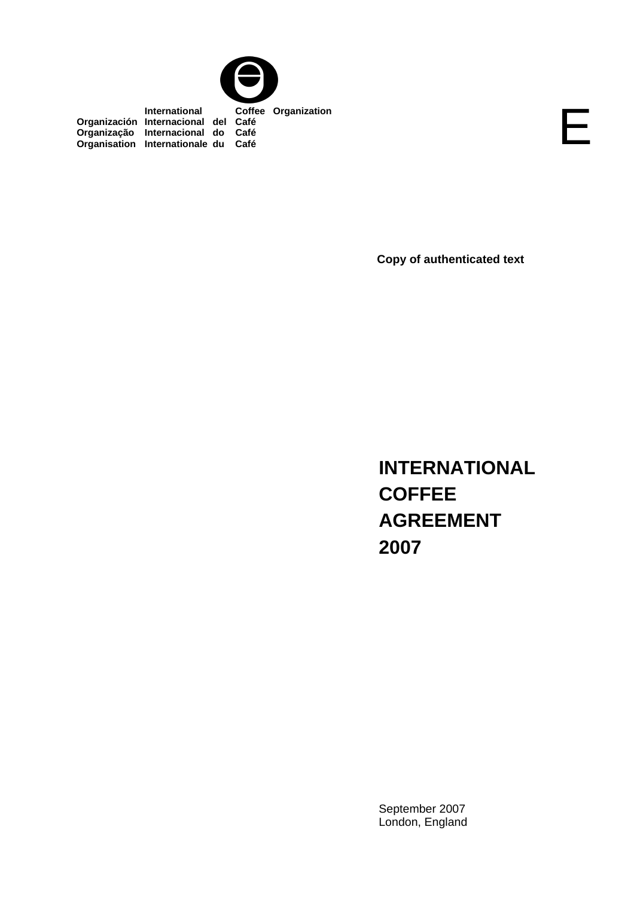

 **International Coffee Organization Organización Internacional del Café Organização Internacional do Café Organisation Internationale du Café**

**Copy of authenticated text** 

E

**INTERNATIONAL COFFEE AGREEMENT 2007**

September 2007 London, England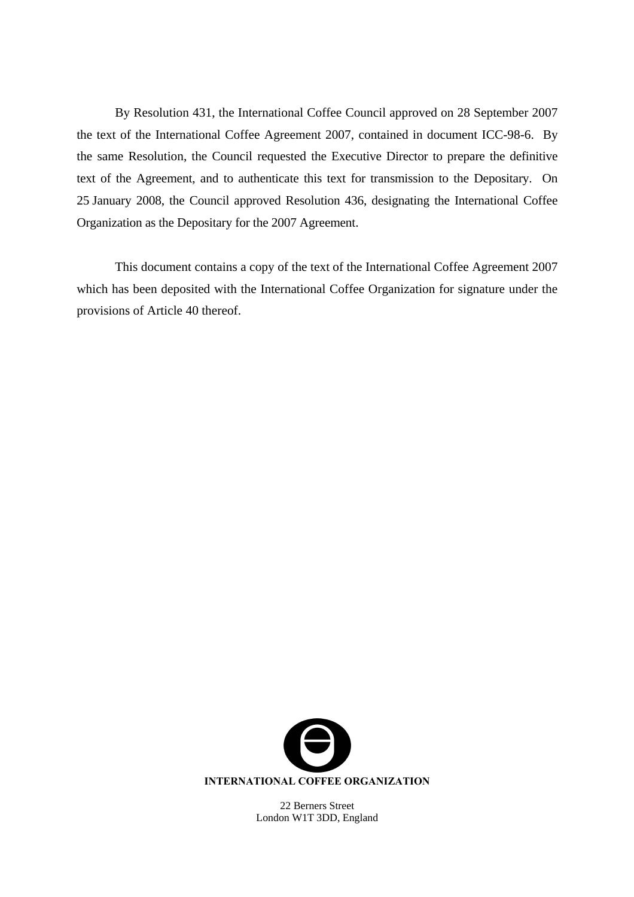By Resolution 431, the International Coffee Council approved on 28 September 2007 the text of the International Coffee Agreement 2007, contained in document ICC-98-6. By the same Resolution, the Council requested the Executive Director to prepare the definitive text of the Agreement, and to authenticate this text for transmission to the Depositary. On 25 January 2008, the Council approved Resolution 436, designating the International Coffee Organization as the Depositary for the 2007 Agreement.

This document contains a copy of the text of the International Coffee Agreement 2007 which has been deposited with the International Coffee Organization for signature under the provisions of Article 40 thereof.



22 Berners Street London W1T 3DD, England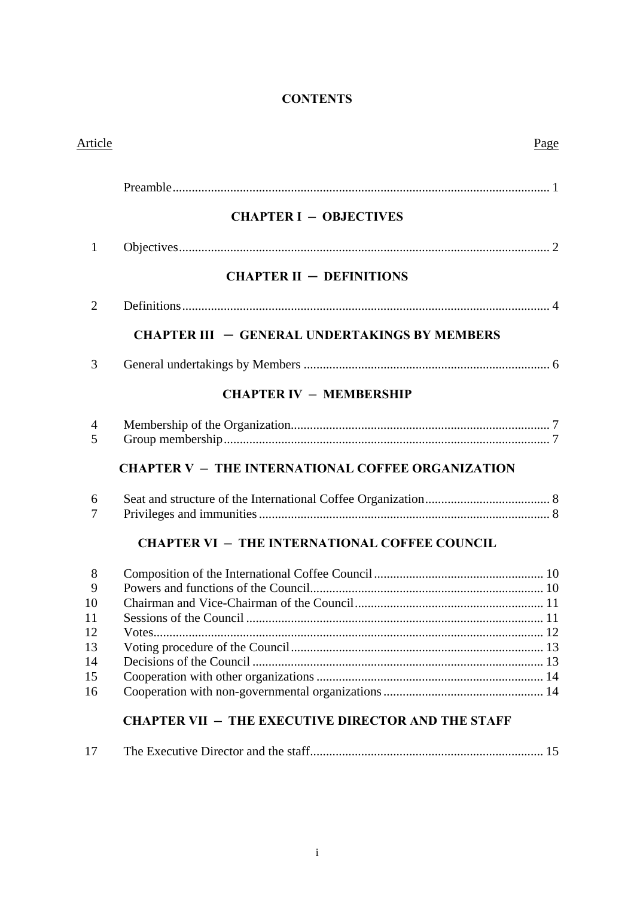# **CONTENTS**

| Article        |                                                           | Page |
|----------------|-----------------------------------------------------------|------|
|                |                                                           |      |
|                | <b>CHAPTER I - OBJECTIVES</b>                             |      |
| $\mathbf{1}$   |                                                           |      |
|                | <b>CHAPTER II - DEFINITIONS</b>                           |      |
| $\overline{2}$ |                                                           |      |
|                | <b>CHAPTER III - GENERAL UNDERTAKINGS BY MEMBERS</b>      |      |
| 3              |                                                           |      |
|                | <b>CHAPTER IV - MEMBERSHIP</b>                            |      |
| 4<br>5         |                                                           |      |
|                | <b>CHAPTER V - THE INTERNATIONAL COFFEE ORGANIZATION</b>  |      |
| 6              |                                                           |      |
| 7              |                                                           |      |
|                | <b>CHAPTER VI - THE INTERNATIONAL COFFEE COUNCIL</b>      |      |
| 8              |                                                           |      |
| 9<br>10        |                                                           |      |
| 11             |                                                           |      |
| 12             |                                                           |      |
| 13             |                                                           |      |
| 14<br>15       |                                                           |      |
| 16             |                                                           |      |
|                | <b>CHAPTER VII - THE EXECUTIVE DIRECTOR AND THE STAFF</b> |      |
| 17             |                                                           |      |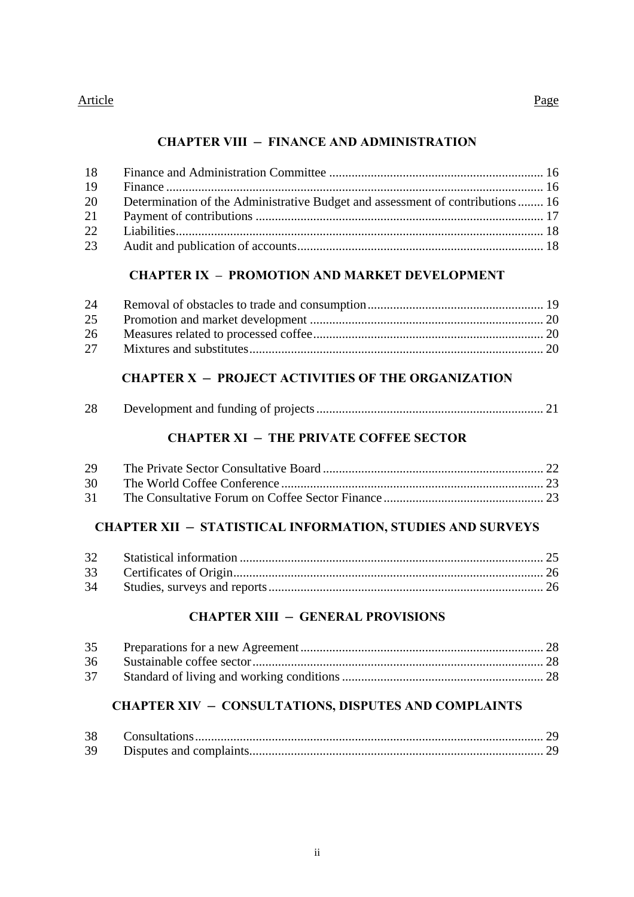### Article Page

### **CHAPTER VIII ─ FINANCE AND ADMINISTRATION**

| -18  |                                                                               |  |
|------|-------------------------------------------------------------------------------|--|
| -19  |                                                                               |  |
| - 20 | Determination of the Administrative Budget and assessment of contributions 16 |  |
| 21   |                                                                               |  |
| 22   |                                                                               |  |
| 23   |                                                                               |  |

# **CHAPTER IX – PROMOTION AND MARKET DEVELOPMENT**

| 24 |  |
|----|--|
| 25 |  |
| 26 |  |
| 27 |  |

# **CHAPTER X ─ PROJECT ACTIVITIES OF THE ORGANIZATION**

|--|--|--|

# **CHAPTER XI ─ THE PRIVATE COFFEE SECTOR**

| 29   |  |
|------|--|
| 30 F |  |
| 31   |  |

# **CHAPTER XII ─ STATISTICAL INFORMATION, STUDIES AND SURVEYS**

# **CHAPTER XIII ─ GENERAL PROVISIONS**

| 37 |  |
|----|--|

# **CHAPTER XIV ─ CONSULTATIONS, DISPUTES AND COMPLAINTS**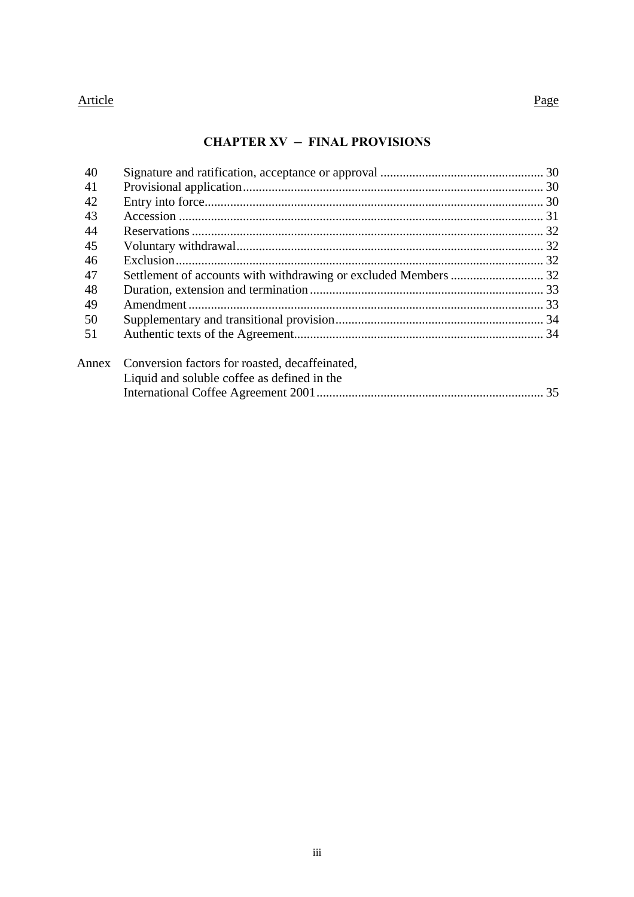### Article Page

### **CHAPTER XV ─ FINAL PROVISIONS**

| 40 |                                                                                                     |  |
|----|-----------------------------------------------------------------------------------------------------|--|
| 41 |                                                                                                     |  |
| 42 |                                                                                                     |  |
| 43 |                                                                                                     |  |
| 44 |                                                                                                     |  |
| 45 |                                                                                                     |  |
| 46 |                                                                                                     |  |
| 47 | Settlement of accounts with withdrawing or excluded Members  32                                     |  |
| 48 |                                                                                                     |  |
| 49 |                                                                                                     |  |
| 50 |                                                                                                     |  |
| 51 |                                                                                                     |  |
|    | Annex Conversion factors for roasted, decaffeinated,<br>Liquid and soluble coffee as defined in the |  |
|    |                                                                                                     |  |
|    |                                                                                                     |  |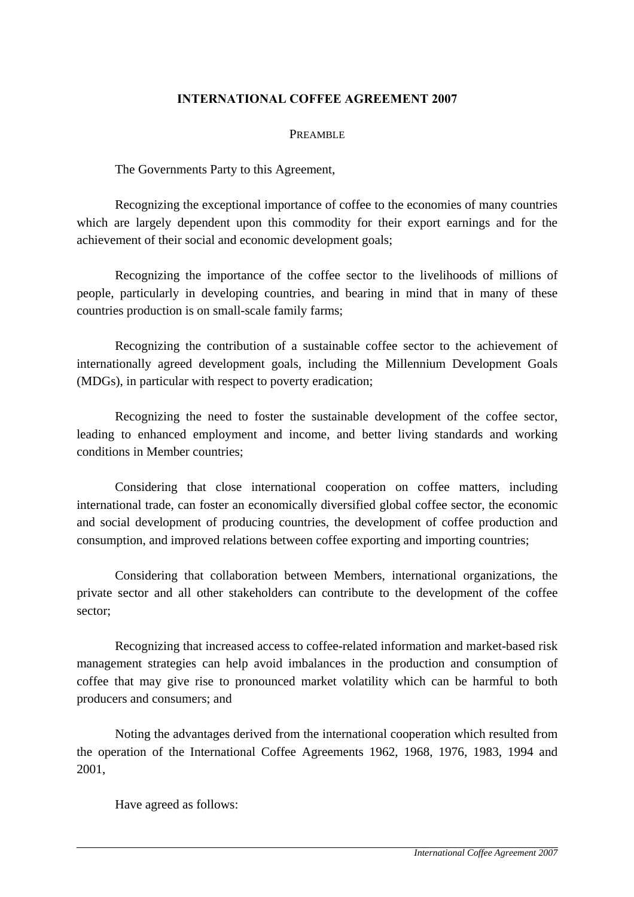### **INTERNATIONAL COFFEE AGREEMENT 2007**

#### PREAMBLE

The Governments Party to this Agreement,

 Recognizing the exceptional importance of coffee to the economies of many countries which are largely dependent upon this commodity for their export earnings and for the achievement of their social and economic development goals;

 Recognizing the importance of the coffee sector to the livelihoods of millions of people, particularly in developing countries, and bearing in mind that in many of these countries production is on small-scale family farms;

 Recognizing the contribution of a sustainable coffee sector to the achievement of internationally agreed development goals, including the Millennium Development Goals (MDGs), in particular with respect to poverty eradication;

 Recognizing the need to foster the sustainable development of the coffee sector, leading to enhanced employment and income, and better living standards and working conditions in Member countries;

 Considering that close international cooperation on coffee matters, including international trade, can foster an economically diversified global coffee sector, the economic and social development of producing countries, the development of coffee production and consumption, and improved relations between coffee exporting and importing countries;

 Considering that collaboration between Members, international organizations, the private sector and all other stakeholders can contribute to the development of the coffee sector;

 Recognizing that increased access to coffee-related information and market-based risk management strategies can help avoid imbalances in the production and consumption of coffee that may give rise to pronounced market volatility which can be harmful to both producers and consumers; and

 Noting the advantages derived from the international cooperation which resulted from the operation of the International Coffee Agreements 1962, 1968, 1976, 1983, 1994 and 2001,

Have agreed as follows: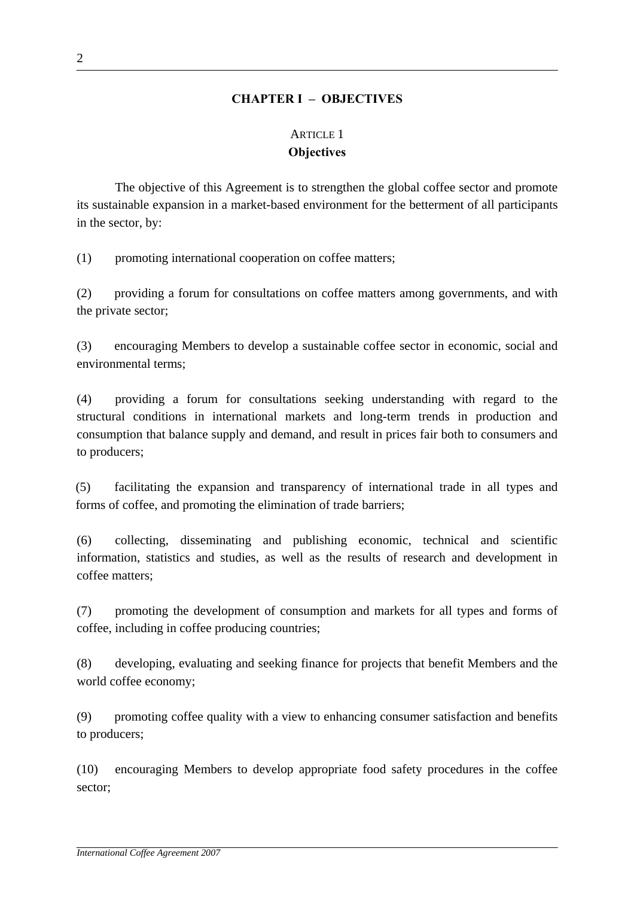### **CHAPTER I – OBJECTIVES**

## ARTICLE 1 **Objectives**

The objective of this Agreement is to strengthen the global coffee sector and promote its sustainable expansion in a market-based environment for the betterment of all participants in the sector, by:

(1) promoting international cooperation on coffee matters;

(2) providing a forum for consultations on coffee matters among governments, and with the private sector;

(3) encouraging Members to develop a sustainable coffee sector in economic, social and environmental terms;

(4) providing a forum for consultations seeking understanding with regard to the structural conditions in international markets and long-term trends in production and consumption that balance supply and demand, and result in prices fair both to consumers and to producers;

(5) facilitating the expansion and transparency of international trade in all types and forms of coffee, and promoting the elimination of trade barriers;

(6) collecting, disseminating and publishing economic, technical and scientific information, statistics and studies, as well as the results of research and development in coffee matters;

(7) promoting the development of consumption and markets for all types and forms of coffee, including in coffee producing countries;

(8) developing, evaluating and seeking finance for projects that benefit Members and the world coffee economy;

(9) promoting coffee quality with a view to enhancing consumer satisfaction and benefits to producers;

(10) encouraging Members to develop appropriate food safety procedures in the coffee sector;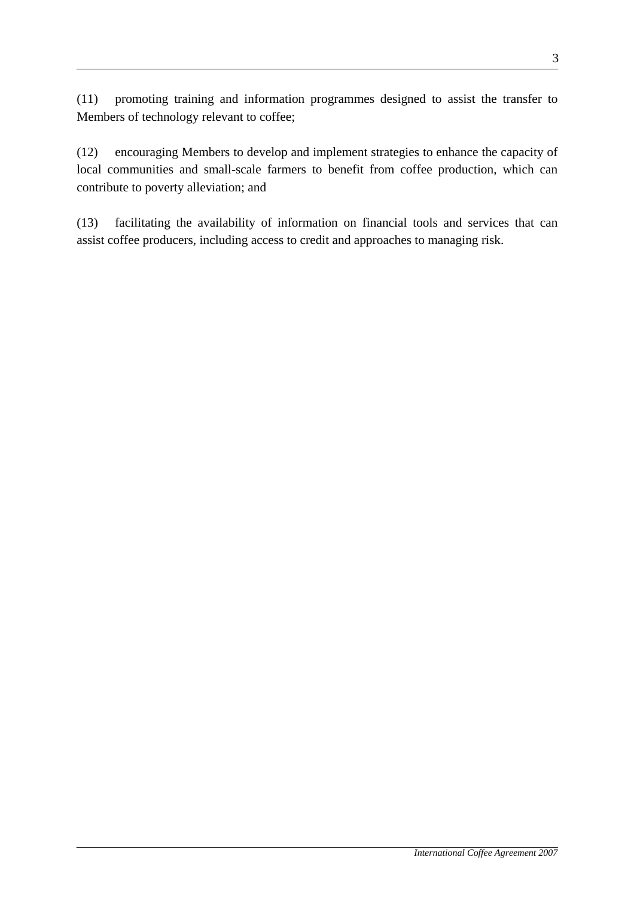(11) promoting training and information programmes designed to assist the transfer to Members of technology relevant to coffee;

(12) encouraging Members to develop and implement strategies to enhance the capacity of local communities and small-scale farmers to benefit from coffee production, which can contribute to poverty alleviation; and

(13) facilitating the availability of information on financial tools and services that can assist coffee producers, including access to credit and approaches to managing risk.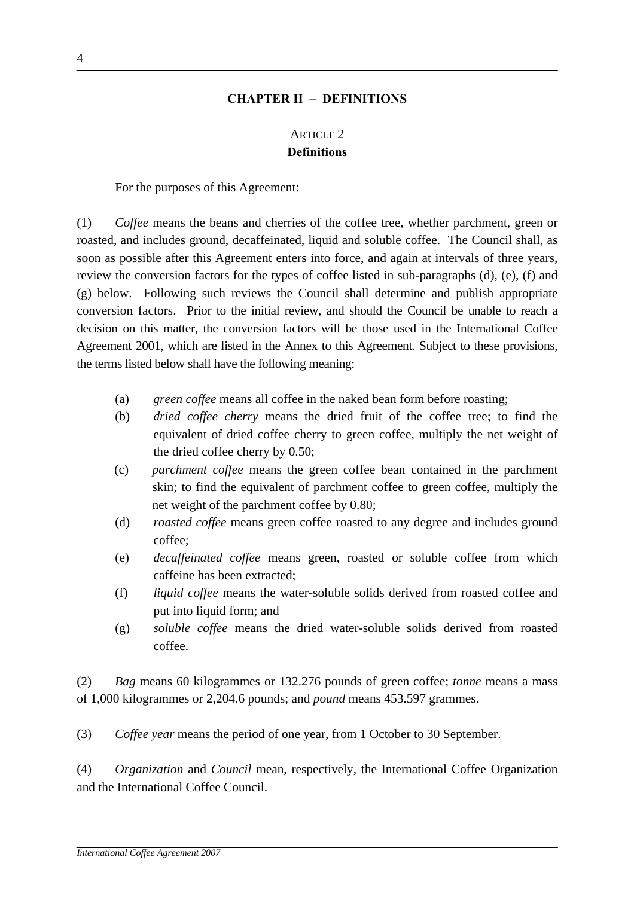### **CHAPTER II – DEFINITIONS**

# ARTICLE 2 **Definitions**

For the purposes of this Agreement:

(1) *Coffee* means the beans and cherries of the coffee tree, whether parchment, green or roasted, and includes ground, decaffeinated, liquid and soluble coffee. The Council shall, as soon as possible after this Agreement enters into force, and again at intervals of three years, review the conversion factors for the types of coffee listed in sub-paragraphs (d), (e), (f) and (g) below. Following such reviews the Council shall determine and publish appropriate conversion factors. Prior to the initial review, and should the Council be unable to reach a decision on this matter, the conversion factors will be those used in the International Coffee Agreement 2001, which are listed in the Annex to this Agreement. Subject to these provisions, the terms listed below shall have the following meaning:

- (a) *green coffee* means all coffee in the naked bean form before roasting;
- (b) *dried coffee cherry* means the dried fruit of the coffee tree; to find the equivalent of dried coffee cherry to green coffee, multiply the net weight of the dried coffee cherry by 0.50;
- (c) *parchment coffee* means the green coffee bean contained in the parchment skin; to find the equivalent of parchment coffee to green coffee, multiply the net weight of the parchment coffee by 0.80;
- (d) *roasted coffee* means green coffee roasted to any degree and includes ground coffee;
- (e) *decaffeinated coffee* means green, roasted or soluble coffee from which caffeine has been extracted;
- (f) *liquid coffee* means the water-soluble solids derived from roasted coffee and put into liquid form; and
- (g) *soluble coffee* means the dried water-soluble solids derived from roasted coffee.

(2) *Bag* means 60 kilogrammes or 132.276 pounds of green coffee; *tonne* means a mass of 1,000 kilogrammes or 2,204.6 pounds; and *pound* means 453.597 grammes.

(3) *Coffee year* means the period of one year, from 1 October to 30 September.

(4) *Organization* and *Council* mean, respectively, the International Coffee Organization and the International Coffee Council.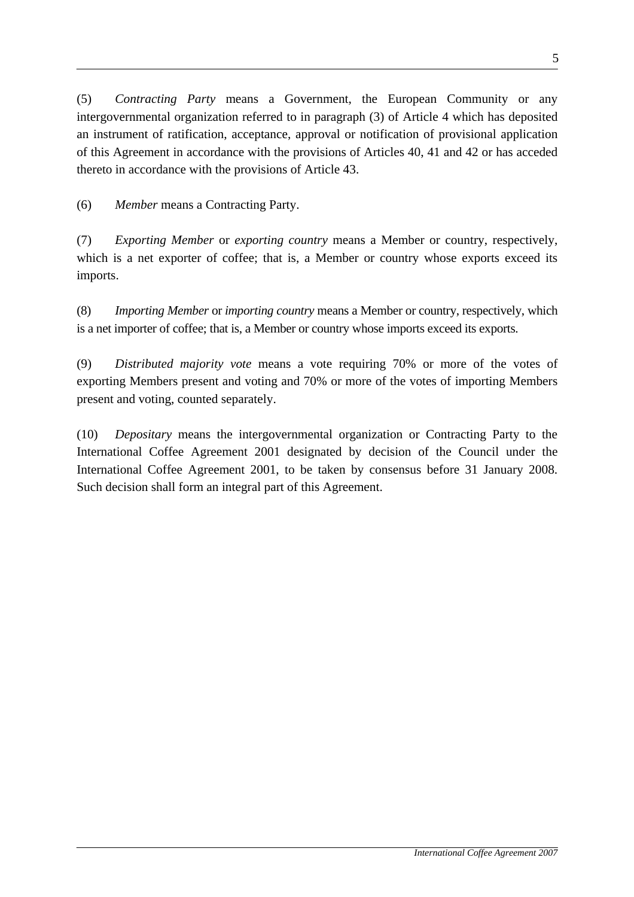(5) *Contracting Party* means a Government, the European Community or any intergovernmental organization referred to in paragraph (3) of Article 4 which has deposited an instrument of ratification, acceptance, approval or notification of provisional application of this Agreement in accordance with the provisions of Articles 40, 41 and 42 or has acceded thereto in accordance with the provisions of Article 43.

(6) *Member* means a Contracting Party.

(7) *Exporting Member* or *exporting country* means a Member or country, respectively, which is a net exporter of coffee; that is, a Member or country whose exports exceed its imports.

(8) *Importing Member* or *importing country* means a Member or country, respectively, which is a net importer of coffee; that is, a Member or country whose imports exceed its exports.

(9) *Distributed majority vote* means a vote requiring 70% or more of the votes of exporting Members present and voting and 70% or more of the votes of importing Members present and voting, counted separately.

(10) *Depositary* means the intergovernmental organization or Contracting Party to the International Coffee Agreement 2001 designated by decision of the Council under the International Coffee Agreement 2001, to be taken by consensus before 31 January 2008. Such decision shall form an integral part of this Agreement.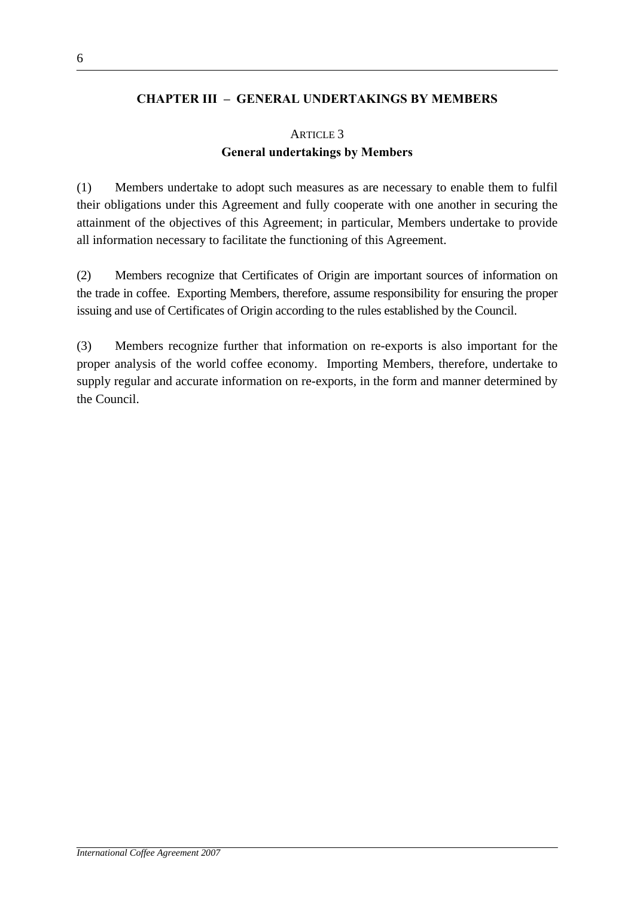### **CHAPTER III – GENERAL UNDERTAKINGS BY MEMBERS**

# ARTICLE 3 **General undertakings by Members**

(1) Members undertake to adopt such measures as are necessary to enable them to fulfil their obligations under this Agreement and fully cooperate with one another in securing the attainment of the objectives of this Agreement; in particular, Members undertake to provide all information necessary to facilitate the functioning of this Agreement.

(2) Members recognize that Certificates of Origin are important sources of information on the trade in coffee. Exporting Members, therefore, assume responsibility for ensuring the proper issuing and use of Certificates of Origin according to the rules established by the Council.

(3) Members recognize further that information on re-exports is also important for the proper analysis of the world coffee economy. Importing Members, therefore, undertake to supply regular and accurate information on re-exports, in the form and manner determined by the Council.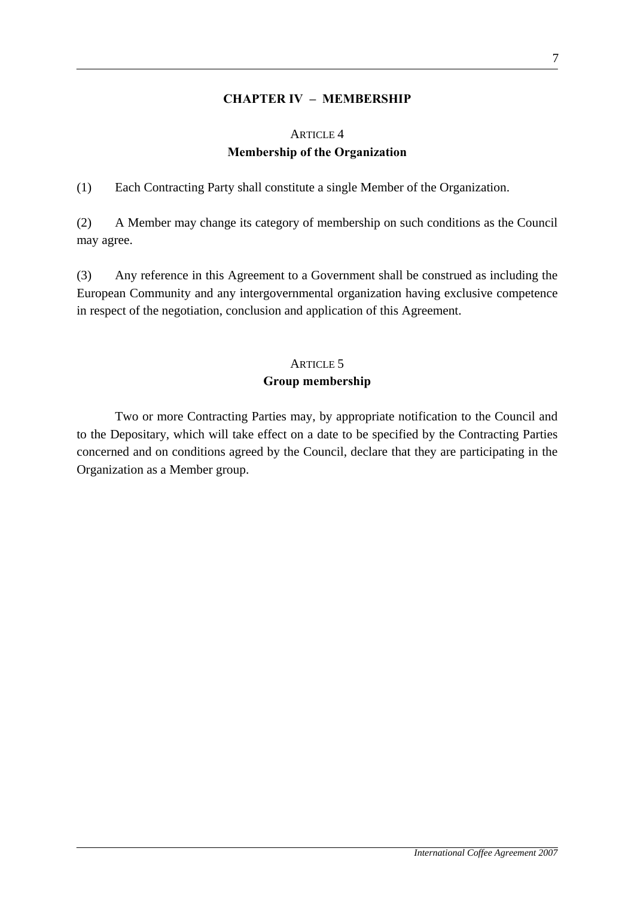### **CHAPTER IV – MEMBERSHIP**

# ARTICLE 4 **Membership of the Organization**

(1) Each Contracting Party shall constitute a single Member of the Organization.

(2) A Member may change its category of membership on such conditions as the Council may agree.

(3) Any reference in this Agreement to a Government shall be construed as including the European Community and any intergovernmental organization having exclusive competence in respect of the negotiation, conclusion and application of this Agreement.

### ARTICLE 5

### **Group membership**

 Two or more Contracting Parties may, by appropriate notification to the Council and to the Depositary, which will take effect on a date to be specified by the Contracting Parties concerned and on conditions agreed by the Council, declare that they are participating in the Organization as a Member group.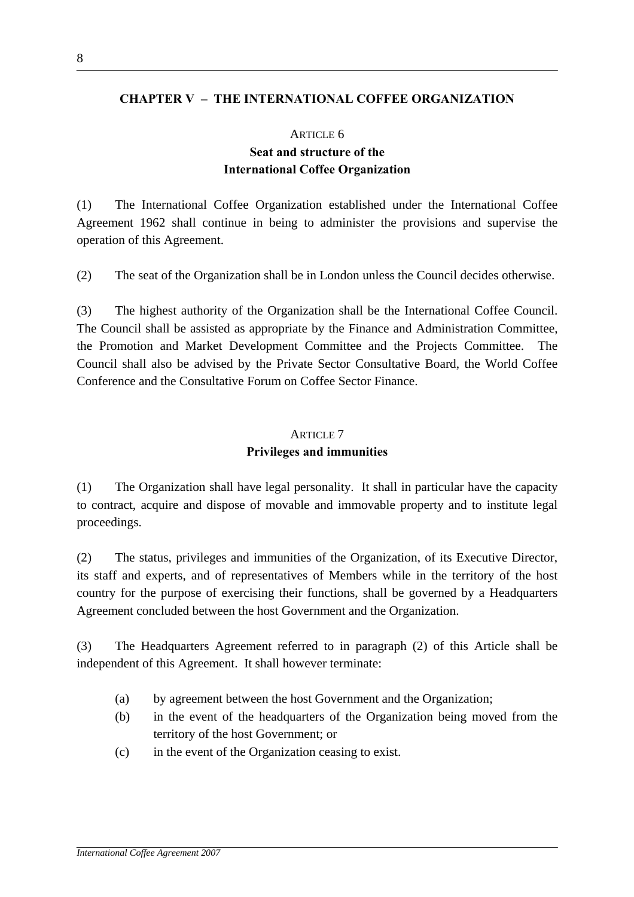### **CHAPTER V – THE INTERNATIONAL COFFEE ORGANIZATION**

#### ARTICLE 6

# **Seat and structure of the International Coffee Organization**

(1) The International Coffee Organization established under the International Coffee Agreement 1962 shall continue in being to administer the provisions and supervise the operation of this Agreement.

(2) The seat of the Organization shall be in London unless the Council decides otherwise.

(3) The highest authority of the Organization shall be the International Coffee Council. The Council shall be assisted as appropriate by the Finance and Administration Committee, the Promotion and Market Development Committee and the Projects Committee. The Council shall also be advised by the Private Sector Consultative Board, the World Coffee Conference and the Consultative Forum on Coffee Sector Finance.

#### ARTICLE 7

### **Privileges and immunities**

(1) The Organization shall have legal personality. It shall in particular have the capacity to contract, acquire and dispose of movable and immovable property and to institute legal proceedings.

(2) The status, privileges and immunities of the Organization, of its Executive Director, its staff and experts, and of representatives of Members while in the territory of the host country for the purpose of exercising their functions, shall be governed by a Headquarters Agreement concluded between the host Government and the Organization.

(3) The Headquarters Agreement referred to in paragraph (2) of this Article shall be independent of this Agreement. It shall however terminate:

- (a) by agreement between the host Government and the Organization;
- (b) in the event of the headquarters of the Organization being moved from the territory of the host Government; or
- (c) in the event of the Organization ceasing to exist.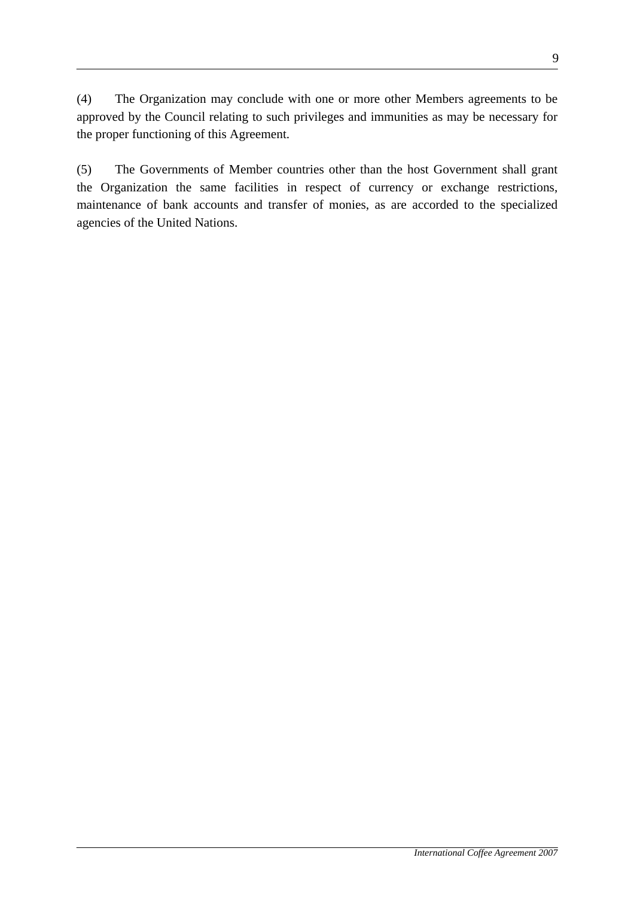(4) The Organization may conclude with one or more other Members agreements to be approved by the Council relating to such privileges and immunities as may be necessary for the proper functioning of this Agreement.

(5) The Governments of Member countries other than the host Government shall grant the Organization the same facilities in respect of currency or exchange restrictions, maintenance of bank accounts and transfer of monies, as are accorded to the specialized agencies of the United Nations.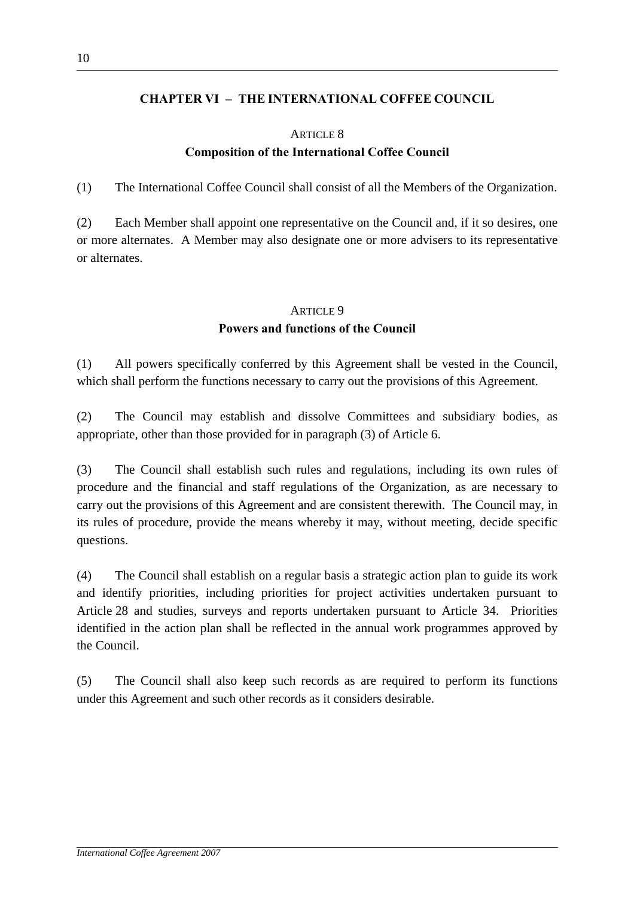### **CHAPTER VI – THE INTERNATIONAL COFFEE COUNCIL**

# ARTICLE 8 **Composition of the International Coffee Council**

(1) The International Coffee Council shall consist of all the Members of the Organization.

(2) Each Member shall appoint one representative on the Council and, if it so desires, one or more alternates. A Member may also designate one or more advisers to its representative or alternates.

# ARTICLE 9 **Powers and functions of the Council**

(1) All powers specifically conferred by this Agreement shall be vested in the Council, which shall perform the functions necessary to carry out the provisions of this Agreement.

(2) The Council may establish and dissolve Committees and subsidiary bodies, as appropriate, other than those provided for in paragraph (3) of Article 6.

(3) The Council shall establish such rules and regulations, including its own rules of procedure and the financial and staff regulations of the Organization, as are necessary to carry out the provisions of this Agreement and are consistent therewith. The Council may, in its rules of procedure, provide the means whereby it may, without meeting, decide specific questions.

(4) The Council shall establish on a regular basis a strategic action plan to guide its work and identify priorities, including priorities for project activities undertaken pursuant to Article 28 and studies, surveys and reports undertaken pursuant to Article 34. Priorities identified in the action plan shall be reflected in the annual work programmes approved by the Council.

(5) The Council shall also keep such records as are required to perform its functions under this Agreement and such other records as it considers desirable.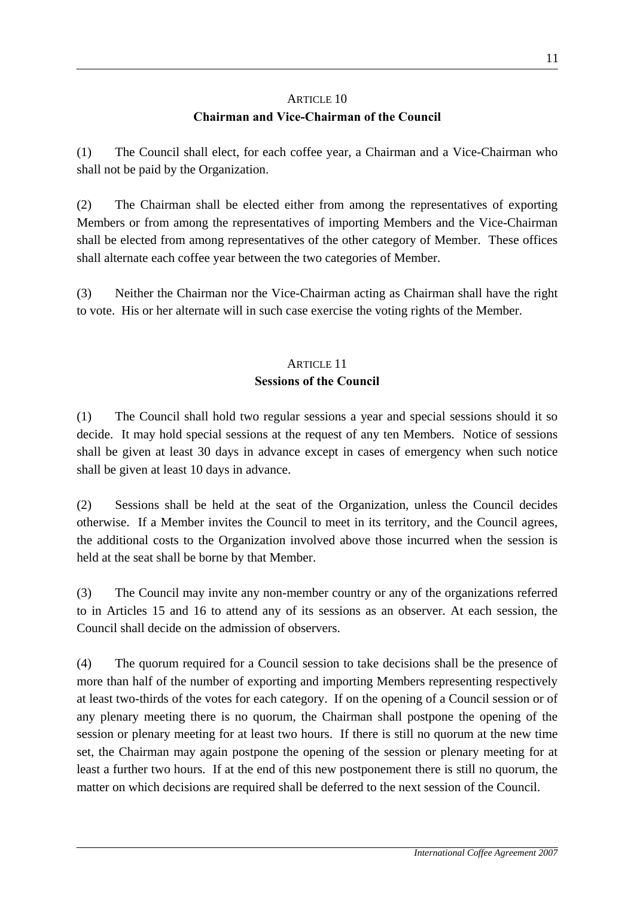# ARTICLE 10 **Chairman and Vice-Chairman of the Council**

(1) The Council shall elect, for each coffee year, a Chairman and a Vice-Chairman who shall not be paid by the Organization.

(2) The Chairman shall be elected either from among the representatives of exporting Members or from among the representatives of importing Members and the Vice-Chairman shall be elected from among representatives of the other category of Member. These offices shall alternate each coffee year between the two categories of Member.

(3) Neither the Chairman nor the Vice-Chairman acting as Chairman shall have the right to vote. His or her alternate will in such case exercise the voting rights of the Member.

# ARTICLE 11 **Sessions of the Council**

(1) The Council shall hold two regular sessions a year and special sessions should it so decide. It may hold special sessions at the request of any ten Members. Notice of sessions shall be given at least 30 days in advance except in cases of emergency when such notice shall be given at least 10 days in advance.

(2) Sessions shall be held at the seat of the Organization, unless the Council decides otherwise. If a Member invites the Council to meet in its territory, and the Council agrees, the additional costs to the Organization involved above those incurred when the session is held at the seat shall be borne by that Member.

(3) The Council may invite any non-member country or any of the organizations referred to in Articles 15 and 16 to attend any of its sessions as an observer. At each session, the Council shall decide on the admission of observers.

(4) The quorum required for a Council session to take decisions shall be the presence of more than half of the number of exporting and importing Members representing respectively at least two-thirds of the votes for each category. If on the opening of a Council session or of any plenary meeting there is no quorum, the Chairman shall postpone the opening of the session or plenary meeting for at least two hours. If there is still no quorum at the new time set, the Chairman may again postpone the opening of the session or plenary meeting for at least a further two hours. If at the end of this new postponement there is still no quorum, the matter on which decisions are required shall be deferred to the next session of the Council.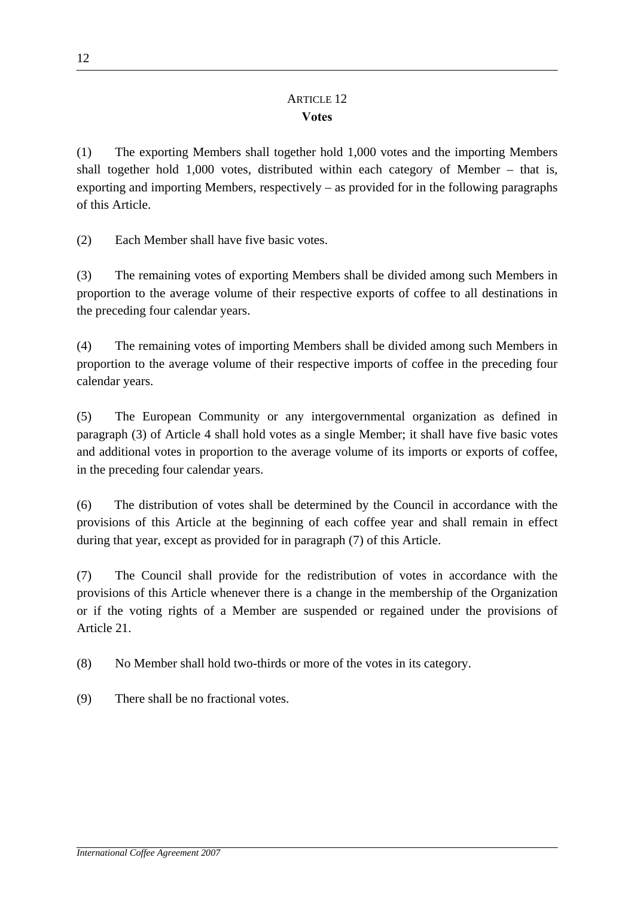# ARTICLE 12 **Votes**

(1) The exporting Members shall together hold 1,000 votes and the importing Members shall together hold 1,000 votes, distributed within each category of Member – that is, exporting and importing Members, respectively – as provided for in the following paragraphs of this Article.

(2) Each Member shall have five basic votes.

(3) The remaining votes of exporting Members shall be divided among such Members in proportion to the average volume of their respective exports of coffee to all destinations in the preceding four calendar years.

(4) The remaining votes of importing Members shall be divided among such Members in proportion to the average volume of their respective imports of coffee in the preceding four calendar years.

(5) The European Community or any intergovernmental organization as defined in paragraph (3) of Article 4 shall hold votes as a single Member; it shall have five basic votes and additional votes in proportion to the average volume of its imports or exports of coffee, in the preceding four calendar years.

(6) The distribution of votes shall be determined by the Council in accordance with the provisions of this Article at the beginning of each coffee year and shall remain in effect during that year, except as provided for in paragraph (7) of this Article.

(7) The Council shall provide for the redistribution of votes in accordance with the provisions of this Article whenever there is a change in the membership of the Organization or if the voting rights of a Member are suspended or regained under the provisions of Article 21.

(8) No Member shall hold two-thirds or more of the votes in its category.

(9) There shall be no fractional votes.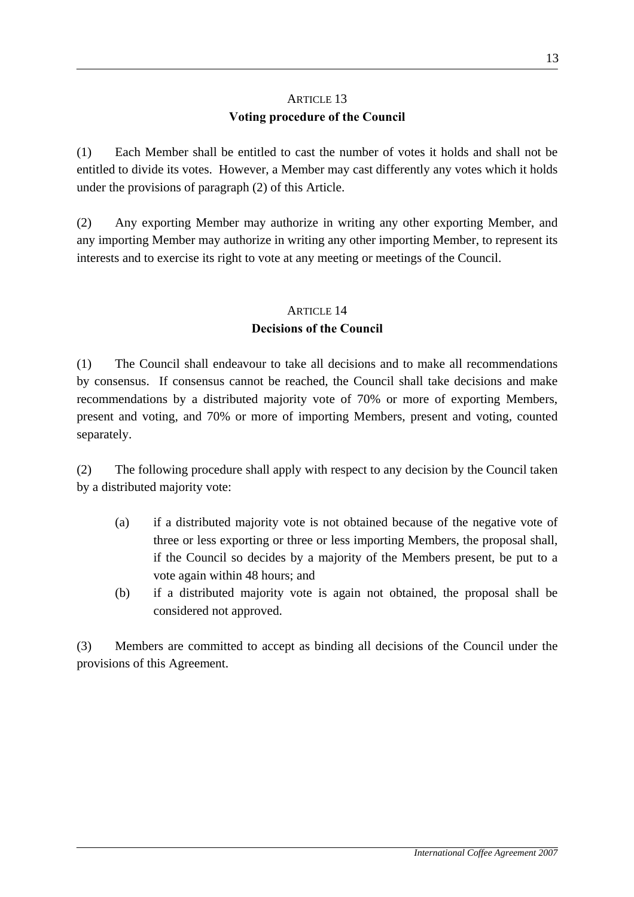# ARTICLE 13 **Voting procedure of the Council**

(1) Each Member shall be entitled to cast the number of votes it holds and shall not be entitled to divide its votes. However, a Member may cast differently any votes which it holds under the provisions of paragraph (2) of this Article.

(2) Any exporting Member may authorize in writing any other exporting Member, and any importing Member may authorize in writing any other importing Member, to represent its interests and to exercise its right to vote at any meeting or meetings of the Council.

# ARTICLE 14 **Decisions of the Council**

(1) The Council shall endeavour to take all decisions and to make all recommendations by consensus. If consensus cannot be reached, the Council shall take decisions and make recommendations by a distributed majority vote of 70% or more of exporting Members, present and voting, and 70% or more of importing Members, present and voting, counted separately.

(2) The following procedure shall apply with respect to any decision by the Council taken by a distributed majority vote:

- (a) if a distributed majority vote is not obtained because of the negative vote of three or less exporting or three or less importing Members, the proposal shall, if the Council so decides by a majority of the Members present, be put to a vote again within 48 hours; and
- (b) if a distributed majority vote is again not obtained, the proposal shall be considered not approved.

(3) Members are committed to accept as binding all decisions of the Council under the provisions of this Agreement.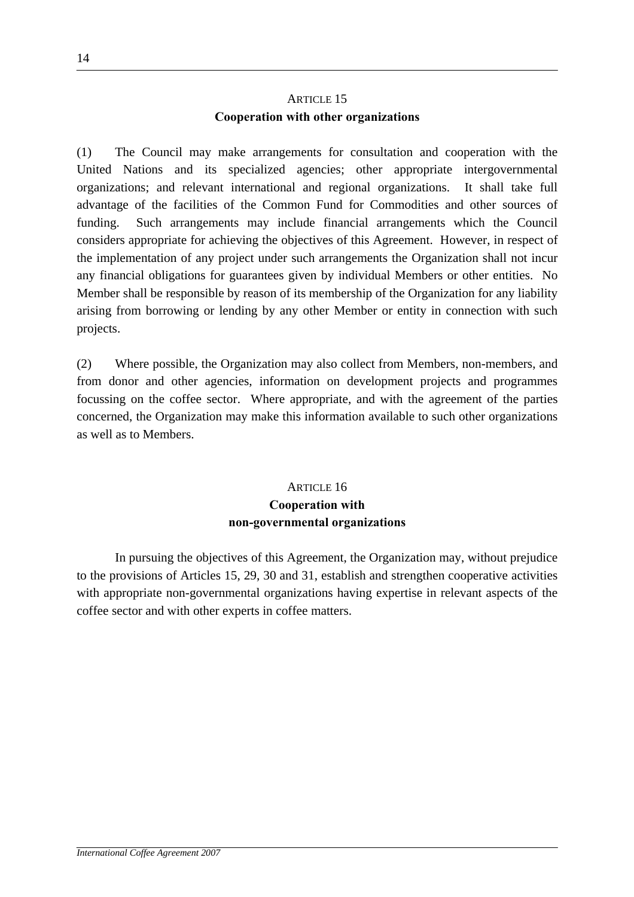# ARTICLE 15 **Cooperation with other organizations**

(1) The Council may make arrangements for consultation and cooperation with the United Nations and its specialized agencies; other appropriate intergovernmental organizations; and relevant international and regional organizations. It shall take full advantage of the facilities of the Common Fund for Commodities and other sources of funding. Such arrangements may include financial arrangements which the Council considers appropriate for achieving the objectives of this Agreement. However, in respect of the implementation of any project under such arrangements the Organization shall not incur any financial obligations for guarantees given by individual Members or other entities. No Member shall be responsible by reason of its membership of the Organization for any liability arising from borrowing or lending by any other Member or entity in connection with such projects.

(2) Where possible, the Organization may also collect from Members, non-members, and from donor and other agencies, information on development projects and programmes focussing on the coffee sector. Where appropriate, and with the agreement of the parties concerned, the Organization may make this information available to such other organizations as well as to Members.

# ARTICLE 16 **Cooperation with non-governmental organizations**

 In pursuing the objectives of this Agreement, the Organization may, without prejudice to the provisions of Articles 15, 29, 30 and 31, establish and strengthen cooperative activities with appropriate non-governmental organizations having expertise in relevant aspects of the coffee sector and with other experts in coffee matters.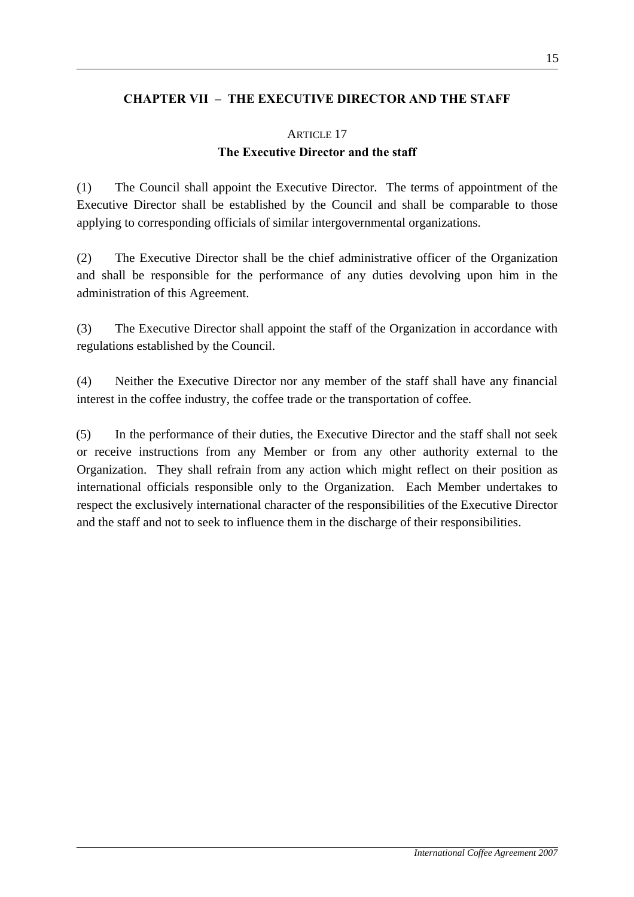## **CHAPTER VII** – **THE EXECUTIVE DIRECTOR AND THE STAFF**

# ARTICLE 17 **The Executive Director and the staff**

(1) The Council shall appoint the Executive Director. The terms of appointment of the Executive Director shall be established by the Council and shall be comparable to those applying to corresponding officials of similar intergovernmental organizations.

(2) The Executive Director shall be the chief administrative officer of the Organization and shall be responsible for the performance of any duties devolving upon him in the administration of this Agreement.

(3) The Executive Director shall appoint the staff of the Organization in accordance with regulations established by the Council.

(4) Neither the Executive Director nor any member of the staff shall have any financial interest in the coffee industry, the coffee trade or the transportation of coffee.

(5) In the performance of their duties, the Executive Director and the staff shall not seek or receive instructions from any Member or from any other authority external to the Organization. They shall refrain from any action which might reflect on their position as international officials responsible only to the Organization. Each Member undertakes to respect the exclusively international character of the responsibilities of the Executive Director and the staff and not to seek to influence them in the discharge of their responsibilities.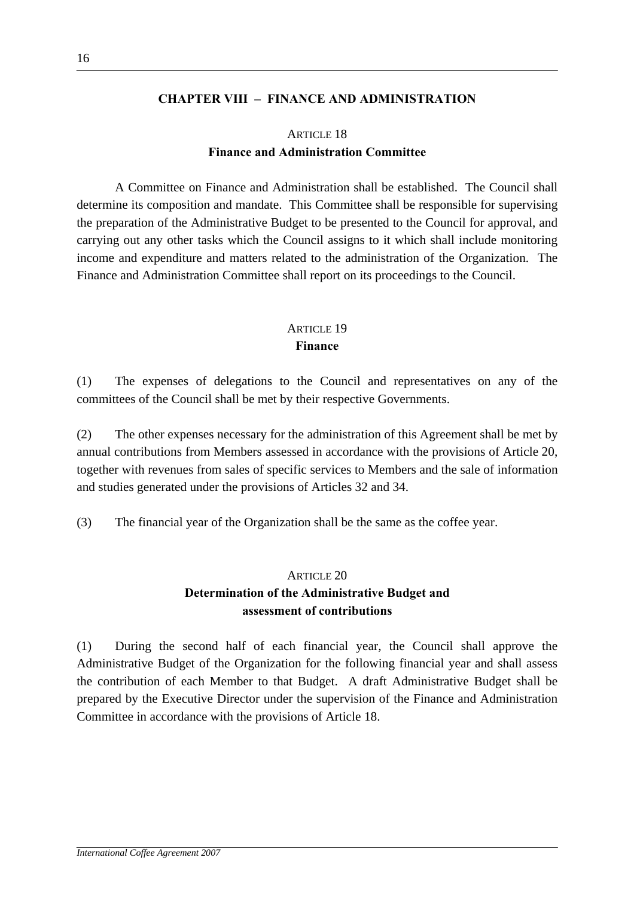#### **CHAPTER VIII – FINANCE AND ADMINISTRATION**

## ARTICLE 18 **Finance and Administration Committee**

 A Committee on Finance and Administration shall be established. The Council shall determine its composition and mandate. This Committee shall be responsible for supervising the preparation of the Administrative Budget to be presented to the Council for approval, and carrying out any other tasks which the Council assigns to it which shall include monitoring income and expenditure and matters related to the administration of the Organization. The Finance and Administration Committee shall report on its proceedings to the Council.

### ARTICLE 19 **Finance**

(1) The expenses of delegations to the Council and representatives on any of the committees of the Council shall be met by their respective Governments.

(2) The other expenses necessary for the administration of this Agreement shall be met by annual contributions from Members assessed in accordance with the provisions of Article 20, together with revenues from sales of specific services to Members and the sale of information and studies generated under the provisions of Articles 32 and 34.

(3) The financial year of the Organization shall be the same as the coffee year.

#### ARTICLE 20

# **Determination of the Administrative Budget and assessment of contributions**

(1) During the second half of each financial year, the Council shall approve the Administrative Budget of the Organization for the following financial year and shall assess the contribution of each Member to that Budget. A draft Administrative Budget shall be prepared by the Executive Director under the supervision of the Finance and Administration Committee in accordance with the provisions of Article 18.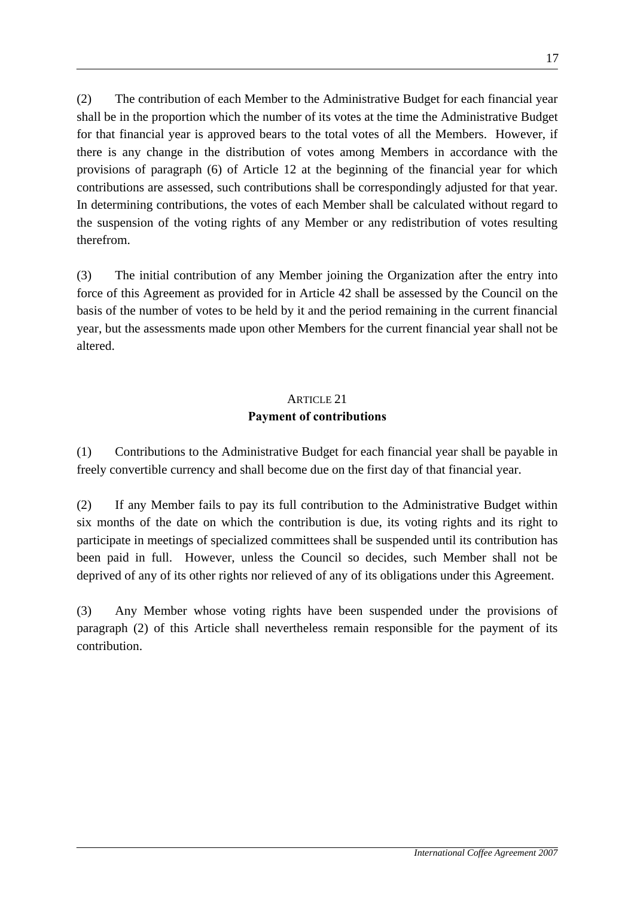(2) The contribution of each Member to the Administrative Budget for each financial year shall be in the proportion which the number of its votes at the time the Administrative Budget for that financial year is approved bears to the total votes of all the Members. However, if there is any change in the distribution of votes among Members in accordance with the provisions of paragraph (6) of Article 12 at the beginning of the financial year for which contributions are assessed, such contributions shall be correspondingly adjusted for that year. In determining contributions, the votes of each Member shall be calculated without regard to the suspension of the voting rights of any Member or any redistribution of votes resulting therefrom.

(3) The initial contribution of any Member joining the Organization after the entry into force of this Agreement as provided for in Article 42 shall be assessed by the Council on the basis of the number of votes to be held by it and the period remaining in the current financial year, but the assessments made upon other Members for the current financial year shall not be altered.

# ARTICLE 21 **Payment of contributions**

(1) Contributions to the Administrative Budget for each financial year shall be payable in freely convertible currency and shall become due on the first day of that financial year.

(2) If any Member fails to pay its full contribution to the Administrative Budget within six months of the date on which the contribution is due, its voting rights and its right to participate in meetings of specialized committees shall be suspended until its contribution has been paid in full. However, unless the Council so decides, such Member shall not be deprived of any of its other rights nor relieved of any of its obligations under this Agreement.

(3) Any Member whose voting rights have been suspended under the provisions of paragraph (2) of this Article shall nevertheless remain responsible for the payment of its contribution.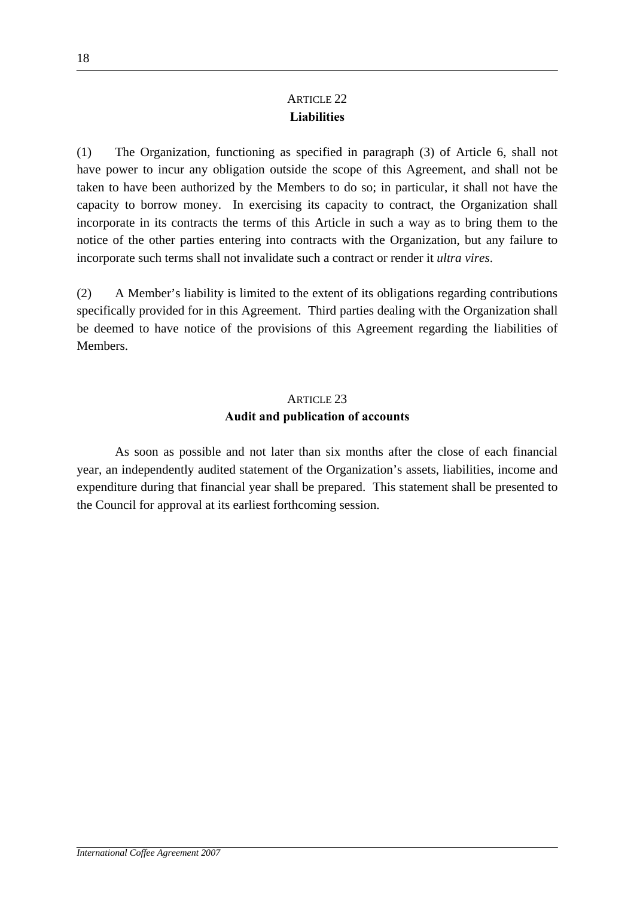# ARTICLE 22 **Liabilities**

(1) The Organization, functioning as specified in paragraph (3) of Article 6, shall not have power to incur any obligation outside the scope of this Agreement, and shall not be taken to have been authorized by the Members to do so; in particular, it shall not have the capacity to borrow money. In exercising its capacity to contract, the Organization shall incorporate in its contracts the terms of this Article in such a way as to bring them to the notice of the other parties entering into contracts with the Organization, but any failure to incorporate such terms shall not invalidate such a contract or render it *ultra vires*.

(2) A Member's liability is limited to the extent of its obligations regarding contributions specifically provided for in this Agreement. Third parties dealing with the Organization shall be deemed to have notice of the provisions of this Agreement regarding the liabilities of **Members** 

# ARTICLE 23 **Audit and publication of accounts**

 As soon as possible and not later than six months after the close of each financial year, an independently audited statement of the Organization's assets, liabilities, income and expenditure during that financial year shall be prepared. This statement shall be presented to the Council for approval at its earliest forthcoming session.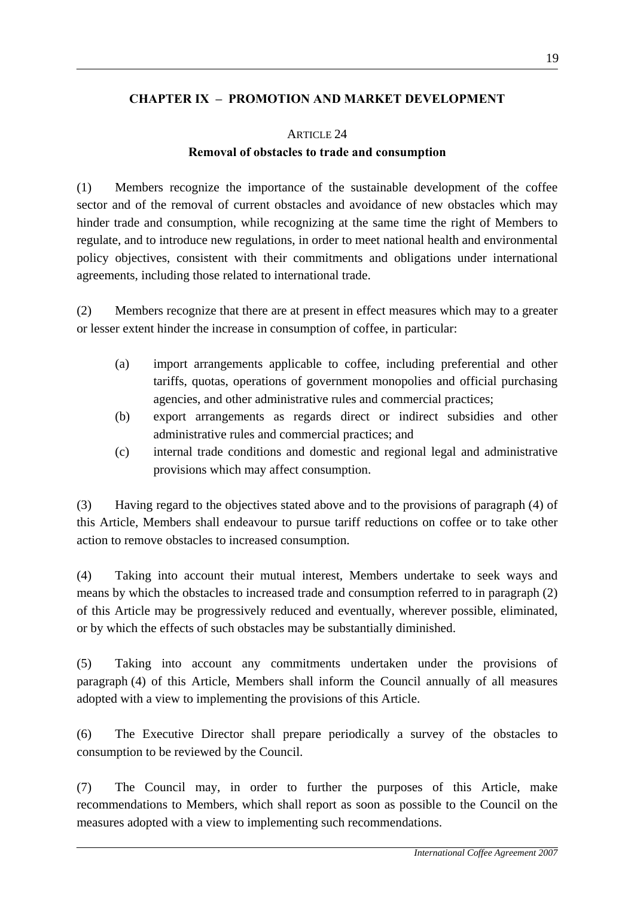### **CHAPTER IX – PROMOTION AND MARKET DEVELOPMENT**

### ARTICLE 24

### **Removal of obstacles to trade and consumption**

(1) Members recognize the importance of the sustainable development of the coffee sector and of the removal of current obstacles and avoidance of new obstacles which may hinder trade and consumption, while recognizing at the same time the right of Members to regulate, and to introduce new regulations, in order to meet national health and environmental policy objectives, consistent with their commitments and obligations under international agreements, including those related to international trade.

(2) Members recognize that there are at present in effect measures which may to a greater or lesser extent hinder the increase in consumption of coffee, in particular:

- (a) import arrangements applicable to coffee, including preferential and other tariffs, quotas, operations of government monopolies and official purchasing agencies, and other administrative rules and commercial practices;
- (b) export arrangements as regards direct or indirect subsidies and other administrative rules and commercial practices; and
- (c) internal trade conditions and domestic and regional legal and administrative provisions which may affect consumption.

(3) Having regard to the objectives stated above and to the provisions of paragraph (4) of this Article, Members shall endeavour to pursue tariff reductions on coffee or to take other action to remove obstacles to increased consumption.

(4) Taking into account their mutual interest, Members undertake to seek ways and means by which the obstacles to increased trade and consumption referred to in paragraph (2) of this Article may be progressively reduced and eventually, wherever possible, eliminated, or by which the effects of such obstacles may be substantially diminished.

(5) Taking into account any commitments undertaken under the provisions of paragraph (4) of this Article, Members shall inform the Council annually of all measures adopted with a view to implementing the provisions of this Article.

(6) The Executive Director shall prepare periodically a survey of the obstacles to consumption to be reviewed by the Council.

(7) The Council may, in order to further the purposes of this Article, make recommendations to Members, which shall report as soon as possible to the Council on the measures adopted with a view to implementing such recommendations.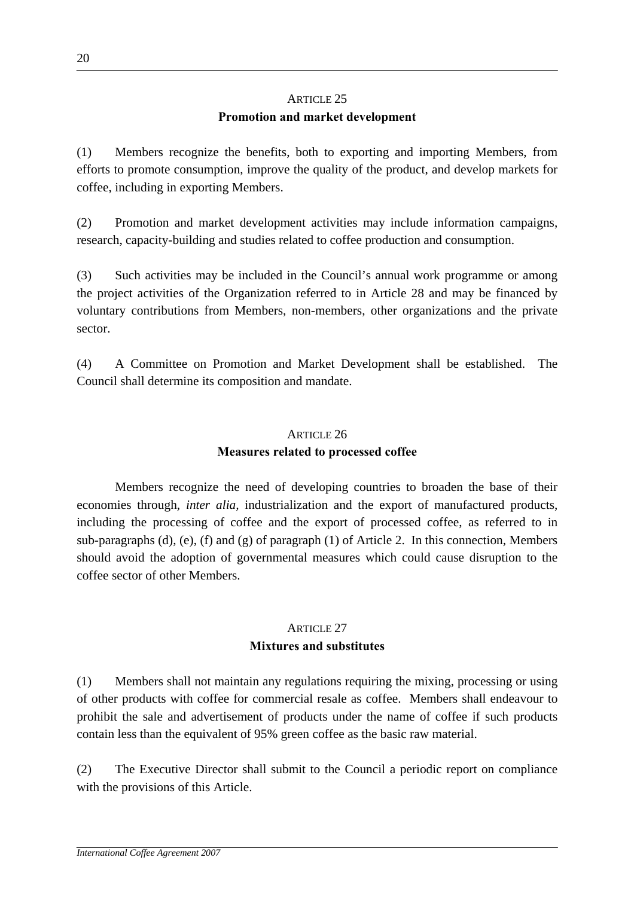# ARTICLE 25 **Promotion and market development**

(1) Members recognize the benefits, both to exporting and importing Members, from efforts to promote consumption, improve the quality of the product, and develop markets for coffee, including in exporting Members.

(2) Promotion and market development activities may include information campaigns, research, capacity-building and studies related to coffee production and consumption.

(3) Such activities may be included in the Council's annual work programme or among the project activities of the Organization referred to in Article 28 and may be financed by voluntary contributions from Members, non-members, other organizations and the private sector.

(4) A Committee on Promotion and Market Development shall be established. The Council shall determine its composition and mandate.

### ARTICLE 26

# **Measures related to processed coffee**

 Members recognize the need of developing countries to broaden the base of their economies through, *inter alia,* industrialization and the export of manufactured products, including the processing of coffee and the export of processed coffee, as referred to in sub-paragraphs (d), (e), (f) and (g) of paragraph (1) of Article 2. In this connection, Members should avoid the adoption of governmental measures which could cause disruption to the coffee sector of other Members.

# ARTICLE 27 **Mixtures and substitutes**

(1) Members shall not maintain any regulations requiring the mixing, processing or using of other products with coffee for commercial resale as coffee. Members shall endeavour to prohibit the sale and advertisement of products under the name of coffee if such products contain less than the equivalent of 95% green coffee as the basic raw material.

(2) The Executive Director shall submit to the Council a periodic report on compliance with the provisions of this Article.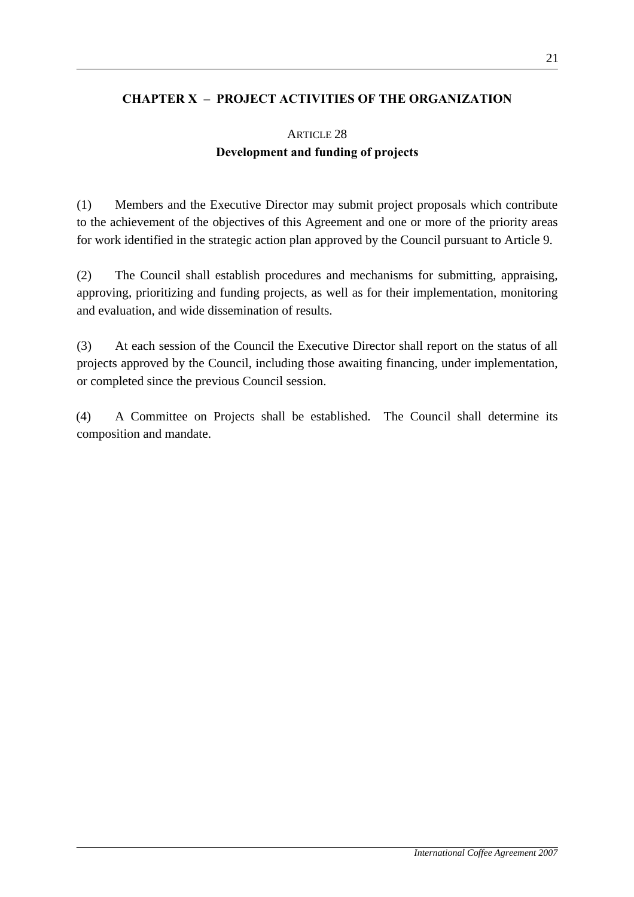## **CHAPTER X** – **PROJECT ACTIVITIES OF THE ORGANIZATION**

# ARTICLE 28 **Development and funding of projects**

(1) Members and the Executive Director may submit project proposals which contribute to the achievement of the objectives of this Agreement and one or more of the priority areas for work identified in the strategic action plan approved by the Council pursuant to Article 9.

(2) The Council shall establish procedures and mechanisms for submitting, appraising, approving, prioritizing and funding projects, as well as for their implementation, monitoring and evaluation, and wide dissemination of results.

(3) At each session of the Council the Executive Director shall report on the status of all projects approved by the Council, including those awaiting financing, under implementation, or completed since the previous Council session.

(4) A Committee on Projects shall be established. The Council shall determine its composition and mandate.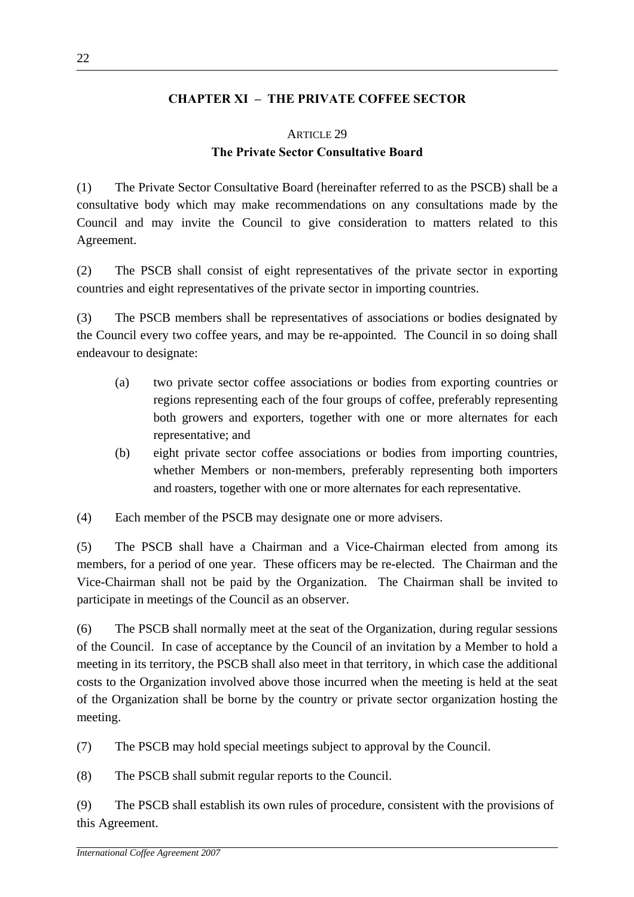### **CHAPTER XI – THE PRIVATE COFFEE SECTOR**

# ARTICLE 29 **The Private Sector Consultative Board**

(1) The Private Sector Consultative Board (hereinafter referred to as the PSCB) shall be a consultative body which may make recommendations on any consultations made by the Council and may invite the Council to give consideration to matters related to this Agreement.

(2) The PSCB shall consist of eight representatives of the private sector in exporting countries and eight representatives of the private sector in importing countries.

(3) The PSCB members shall be representatives of associations or bodies designated by the Council every two coffee years, and may be re-appointed. The Council in so doing shall endeavour to designate:

- (a) two private sector coffee associations or bodies from exporting countries or regions representing each of the four groups of coffee, preferably representing both growers and exporters, together with one or more alternates for each representative; and
- (b) eight private sector coffee associations or bodies from importing countries, whether Members or non-members, preferably representing both importers and roasters, together with one or more alternates for each representative.

(4) Each member of the PSCB may designate one or more advisers.

(5) The PSCB shall have a Chairman and a Vice-Chairman elected from among its members, for a period of one year. These officers may be re-elected. The Chairman and the Vice-Chairman shall not be paid by the Organization. The Chairman shall be invited to participate in meetings of the Council as an observer.

(6) The PSCB shall normally meet at the seat of the Organization, during regular sessions of the Council. In case of acceptance by the Council of an invitation by a Member to hold a meeting in its territory, the PSCB shall also meet in that territory, in which case the additional costs to the Organization involved above those incurred when the meeting is held at the seat of the Organization shall be borne by the country or private sector organization hosting the meeting.

(7) The PSCB may hold special meetings subject to approval by the Council.

(8) The PSCB shall submit regular reports to the Council.

(9) The PSCB shall establish its own rules of procedure, consistent with the provisions of this Agreement.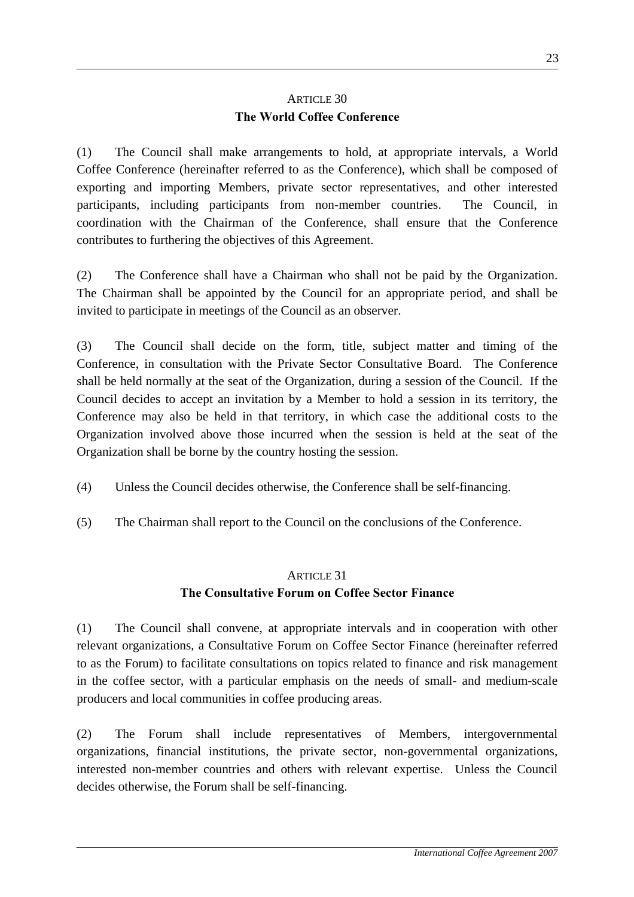# ARTICLE 30 **The World Coffee Conference**

(1) The Council shall make arrangements to hold, at appropriate intervals, a World Coffee Conference (hereinafter referred to as the Conference), which shall be composed of exporting and importing Members, private sector representatives, and other interested participants, including participants from non-member countries. The Council, in coordination with the Chairman of the Conference, shall ensure that the Conference contributes to furthering the objectives of this Agreement.

(2) The Conference shall have a Chairman who shall not be paid by the Organization. The Chairman shall be appointed by the Council for an appropriate period, and shall be invited to participate in meetings of the Council as an observer.

(3) The Council shall decide on the form, title, subject matter and timing of the Conference, in consultation with the Private Sector Consultative Board. The Conference shall be held normally at the seat of the Organization, during a session of the Council. If the Council decides to accept an invitation by a Member to hold a session in its territory, the Conference may also be held in that territory, in which case the additional costs to the Organization involved above those incurred when the session is held at the seat of the Organization shall be borne by the country hosting the session.

- (4) Unless the Council decides otherwise, the Conference shall be self-financing.
- (5) The Chairman shall report to the Council on the conclusions of the Conference.

### ARTICLE 31

# **The Consultative Forum on Coffee Sector Finance**

(1) The Council shall convene, at appropriate intervals and in cooperation with other relevant organizations, a Consultative Forum on Coffee Sector Finance (hereinafter referred to as the Forum) to facilitate consultations on topics related to finance and risk management in the coffee sector, with a particular emphasis on the needs of small- and medium-scale producers and local communities in coffee producing areas.

(2) The Forum shall include representatives of Members, intergovernmental organizations, financial institutions, the private sector, non-governmental organizations, interested non-member countries and others with relevant expertise. Unless the Council decides otherwise, the Forum shall be self-financing.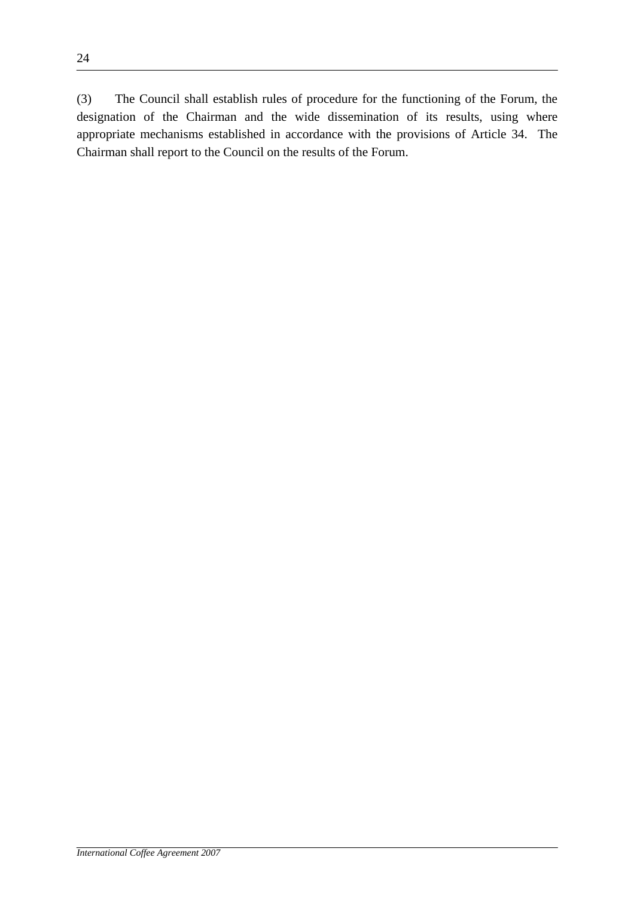(3) The Council shall establish rules of procedure for the functioning of the Forum, the designation of the Chairman and the wide dissemination of its results, using where appropriate mechanisms established in accordance with the provisions of Article 34. The Chairman shall report to the Council on the results of the Forum.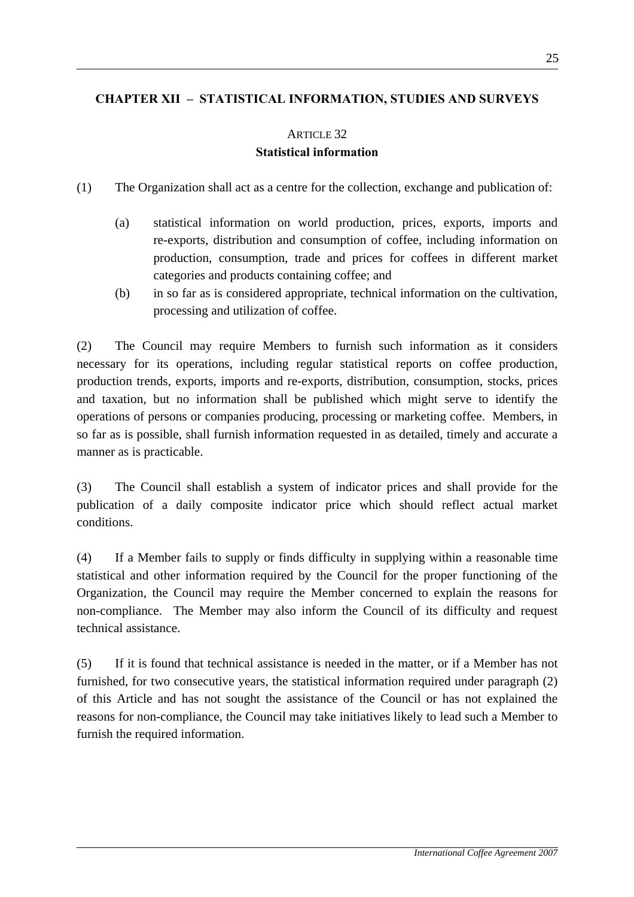# **CHAPTER XII – STATISTICAL INFORMATION, STUDIES AND SURVEYS**

### ARTICLE 32

### **Statistical information**

- (1) The Organization shall act as a centre for the collection, exchange and publication of:
	- (a) statistical information on world production, prices, exports, imports and re-exports, distribution and consumption of coffee, including information on production, consumption, trade and prices for coffees in different market categories and products containing coffee; and
	- (b) in so far as is considered appropriate, technical information on the cultivation, processing and utilization of coffee.

(2) The Council may require Members to furnish such information as it considers necessary for its operations, including regular statistical reports on coffee production, production trends, exports, imports and re-exports, distribution, consumption, stocks, prices and taxation, but no information shall be published which might serve to identify the operations of persons or companies producing, processing or marketing coffee. Members, in so far as is possible, shall furnish information requested in as detailed, timely and accurate a manner as is practicable.

(3) The Council shall establish a system of indicator prices and shall provide for the publication of a daily composite indicator price which should reflect actual market conditions.

(4) If a Member fails to supply or finds difficulty in supplying within a reasonable time statistical and other information required by the Council for the proper functioning of the Organization, the Council may require the Member concerned to explain the reasons for non-compliance. The Member may also inform the Council of its difficulty and request technical assistance.

(5) If it is found that technical assistance is needed in the matter, or if a Member has not furnished, for two consecutive years, the statistical information required under paragraph (2) of this Article and has not sought the assistance of the Council or has not explained the reasons for non-compliance, the Council may take initiatives likely to lead such a Member to furnish the required information.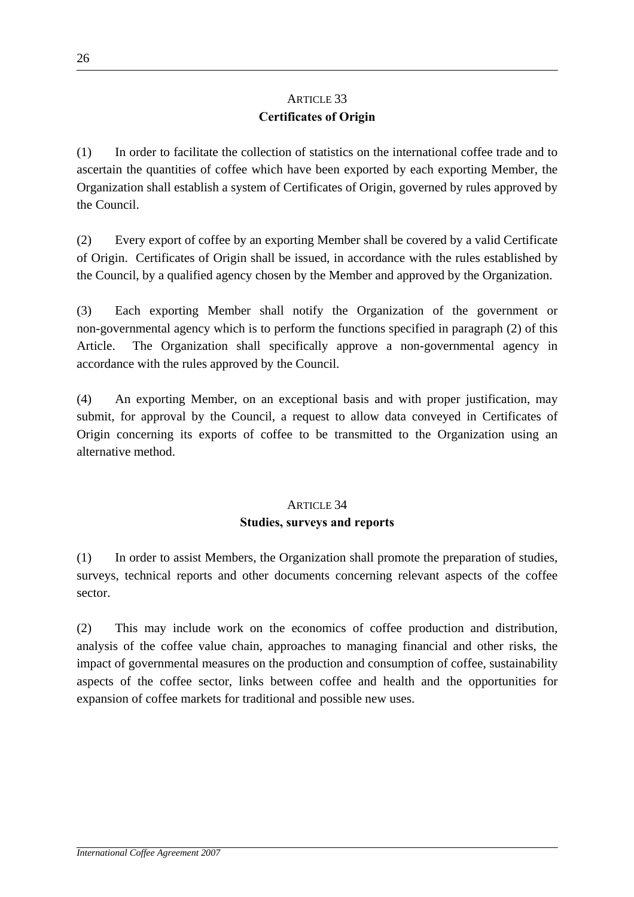# ARTICLE 33 **Certificates of Origin**

(1) In order to facilitate the collection of statistics on the international coffee trade and to ascertain the quantities of coffee which have been exported by each exporting Member, the Organization shall establish a system of Certificates of Origin, governed by rules approved by the Council.

(2) Every export of coffee by an exporting Member shall be covered by a valid Certificate of Origin. Certificates of Origin shall be issued, in accordance with the rules established by the Council, by a qualified agency chosen by the Member and approved by the Organization.

(3) Each exporting Member shall notify the Organization of the government or non-governmental agency which is to perform the functions specified in paragraph (2) of this Article. The Organization shall specifically approve a non-governmental agency in accordance with the rules approved by the Council.

(4) An exporting Member, on an exceptional basis and with proper justification, may submit, for approval by the Council, a request to allow data conveyed in Certificates of Origin concerning its exports of coffee to be transmitted to the Organization using an alternative method.

# ARTICLE 34 **Studies, surveys and reports**

(1) In order to assist Members, the Organization shall promote the preparation of studies, surveys, technical reports and other documents concerning relevant aspects of the coffee sector.

(2) This may include work on the economics of coffee production and distribution, analysis of the coffee value chain, approaches to managing financial and other risks, the impact of governmental measures on the production and consumption of coffee, sustainability aspects of the coffee sector, links between coffee and health and the opportunities for expansion of coffee markets for traditional and possible new uses.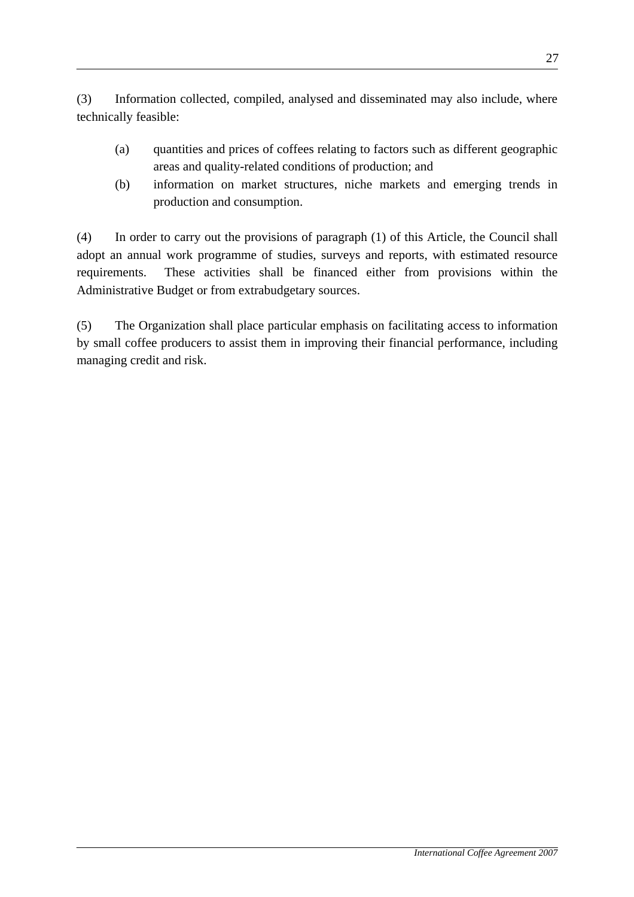(3) Information collected, compiled, analysed and disseminated may also include, where technically feasible:

- (a) quantities and prices of coffees relating to factors such as different geographic areas and quality-related conditions of production; and
- (b) information on market structures, niche markets and emerging trends in production and consumption.

(4) In order to carry out the provisions of paragraph (1) of this Article, the Council shall adopt an annual work programme of studies, surveys and reports, with estimated resource requirements. These activities shall be financed either from provisions within the Administrative Budget or from extrabudgetary sources.

(5) The Organization shall place particular emphasis on facilitating access to information by small coffee producers to assist them in improving their financial performance, including managing credit and risk.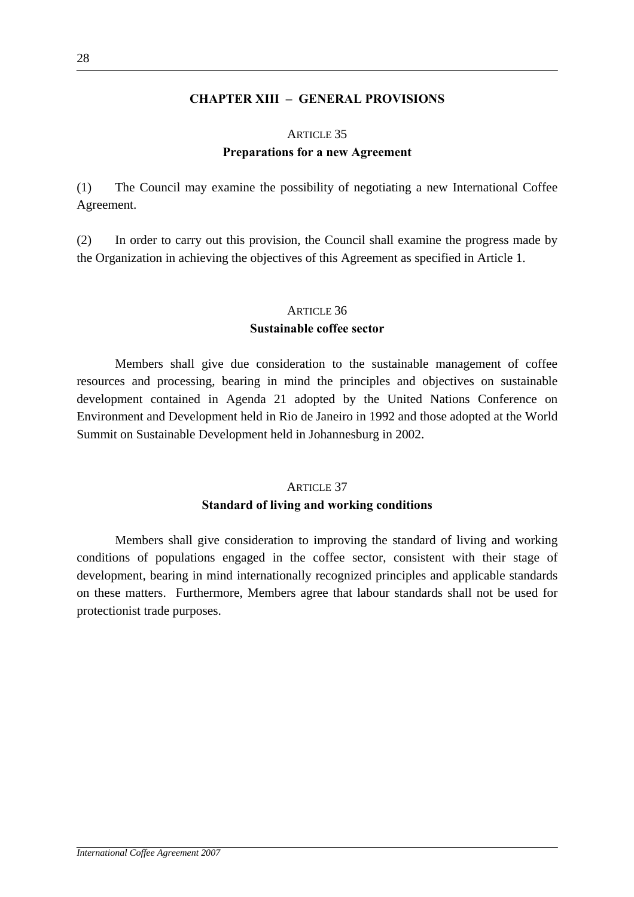### **CHAPTER XIII – GENERAL PROVISIONS**

#### ARTICLE 35

### **Preparations for a new Agreement**

(1) The Council may examine the possibility of negotiating a new International Coffee Agreement.

(2) In order to carry out this provision, the Council shall examine the progress made by the Organization in achieving the objectives of this Agreement as specified in Article 1.

# ARTICLE 36 **Sustainable coffee sector**

 Members shall give due consideration to the sustainable management of coffee resources and processing, bearing in mind the principles and objectives on sustainable development contained in Agenda 21 adopted by the United Nations Conference on Environment and Development held in Rio de Janeiro in 1992 and those adopted at the World Summit on Sustainable Development held in Johannesburg in 2002.

# ARTICLE 37

### **Standard of living and working conditions**

Members shall give consideration to improving the standard of living and working conditions of populations engaged in the coffee sector, consistent with their stage of development, bearing in mind internationally recognized principles and applicable standards on these matters. Furthermore, Members agree that labour standards shall not be used for protectionist trade purposes.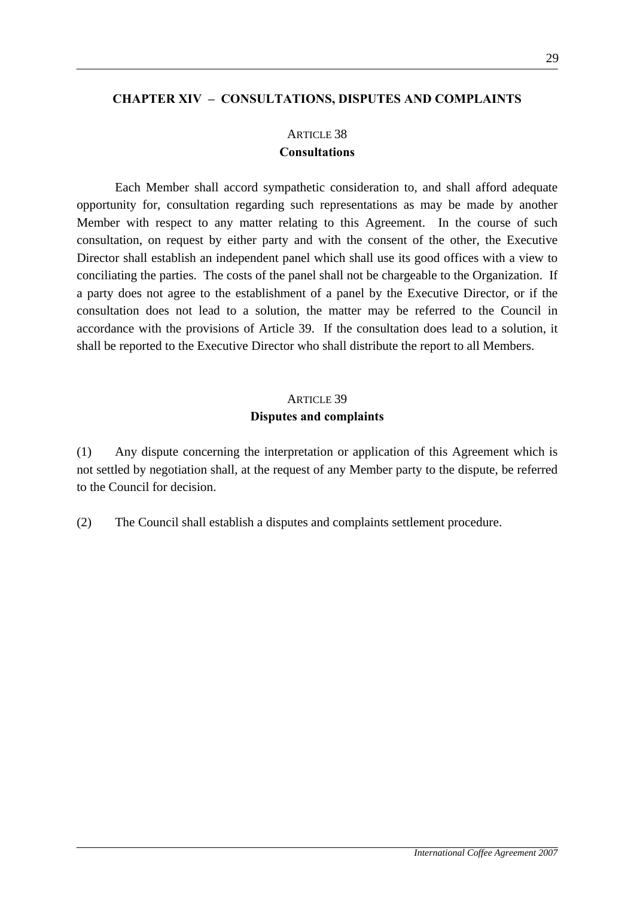#### **CHAPTER XIV – CONSULTATIONS, DISPUTES AND COMPLAINTS**

# ARTICLE 38

### **Consultations**

 Each Member shall accord sympathetic consideration to, and shall afford adequate opportunity for, consultation regarding such representations as may be made by another Member with respect to any matter relating to this Agreement. In the course of such consultation, on request by either party and with the consent of the other, the Executive Director shall establish an independent panel which shall use its good offices with a view to conciliating the parties. The costs of the panel shall not be chargeable to the Organization. If a party does not agree to the establishment of a panel by the Executive Director, or if the consultation does not lead to a solution, the matter may be referred to the Council in accordance with the provisions of Article 39. If the consultation does lead to a solution, it shall be reported to the Executive Director who shall distribute the report to all Members.

# ARTICLE 39 **Disputes and complaints**

(1) Any dispute concerning the interpretation or application of this Agreement which is not settled by negotiation shall, at the request of any Member party to the dispute, be referred to the Council for decision.

(2) The Council shall establish a disputes and complaints settlement procedure.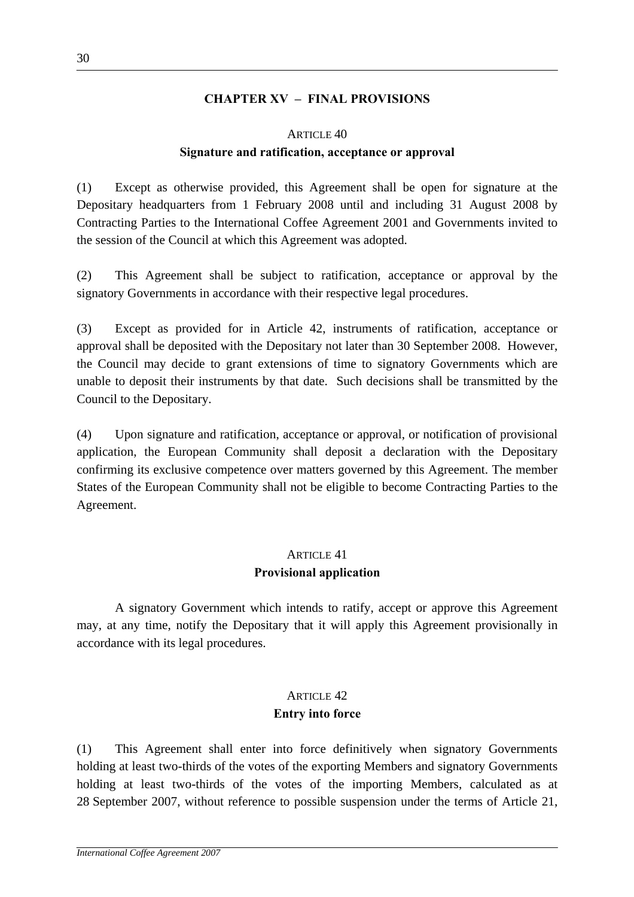### **CHAPTER XV – FINAL PROVISIONS**

#### ARTICLE 40

### **Signature and ratification, acceptance or approval**

(1) Except as otherwise provided, this Agreement shall be open for signature at the Depositary headquarters from 1 February 2008 until and including 31 August 2008 by Contracting Parties to the International Coffee Agreement 2001 and Governments invited to the session of the Council at which this Agreement was adopted.

(2) This Agreement shall be subject to ratification, acceptance or approval by the signatory Governments in accordance with their respective legal procedures.

(3) Except as provided for in Article 42, instruments of ratification, acceptance or approval shall be deposited with the Depositary not later than 30 September 2008. However, the Council may decide to grant extensions of time to signatory Governments which are unable to deposit their instruments by that date. Such decisions shall be transmitted by the Council to the Depositary.

(4) Upon signature and ratification, acceptance or approval, or notification of provisional application, the European Community shall deposit a declaration with the Depositary confirming its exclusive competence over matters governed by this Agreement. The member States of the European Community shall not be eligible to become Contracting Parties to the Agreement.

# ARTICLE 41 **Provisional application**

A signatory Government which intends to ratify, accept or approve this Agreement may, at any time, notify the Depositary that it will apply this Agreement provisionally in accordance with its legal procedures.

# ARTICLE  $42$ **Entry into force**

(1) This Agreement shall enter into force definitively when signatory Governments holding at least two-thirds of the votes of the exporting Members and signatory Governments holding at least two-thirds of the votes of the importing Members, calculated as at 28 September 2007, without reference to possible suspension under the terms of Article 21,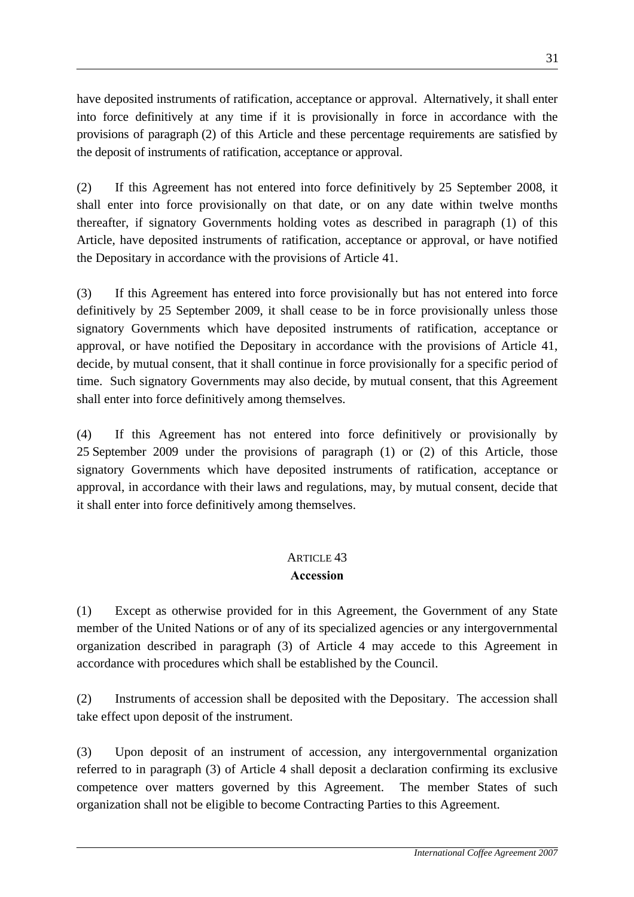have deposited instruments of ratification, acceptance or approval. Alternatively, it shall enter into force definitively at any time if it is provisionally in force in accordance with the provisions of paragraph (2) of this Article and these percentage requirements are satisfied by the deposit of instruments of ratification, acceptance or approval.

(2) If this Agreement has not entered into force definitively by 25 September 2008, it shall enter into force provisionally on that date, or on any date within twelve months thereafter, if signatory Governments holding votes as described in paragraph (1) of this Article, have deposited instruments of ratification, acceptance or approval, or have notified the Depositary in accordance with the provisions of Article 41.

(3) If this Agreement has entered into force provisionally but has not entered into force definitively by 25 September 2009, it shall cease to be in force provisionally unless those signatory Governments which have deposited instruments of ratification, acceptance or approval, or have notified the Depositary in accordance with the provisions of Article 41, decide, by mutual consent, that it shall continue in force provisionally for a specific period of time. Such signatory Governments may also decide, by mutual consent, that this Agreement shall enter into force definitively among themselves.

(4) If this Agreement has not entered into force definitively or provisionally by 25 September 2009 under the provisions of paragraph (1) or (2) of this Article, those signatory Governments which have deposited instruments of ratification, acceptance or approval, in accordance with their laws and regulations, may, by mutual consent, decide that it shall enter into force definitively among themselves.

### ARTICLE  $43$ **Accession**

(1) Except as otherwise provided for in this Agreement, the Government of any State member of the United Nations or of any of its specialized agencies or any intergovernmental organization described in paragraph (3) of Article 4 may accede to this Agreement in accordance with procedures which shall be established by the Council.

(2) Instruments of accession shall be deposited with the Depositary. The accession shall take effect upon deposit of the instrument.

(3) Upon deposit of an instrument of accession, any intergovernmental organization referred to in paragraph (3) of Article 4 shall deposit a declaration confirming its exclusive competence over matters governed by this Agreement. The member States of such organization shall not be eligible to become Contracting Parties to this Agreement.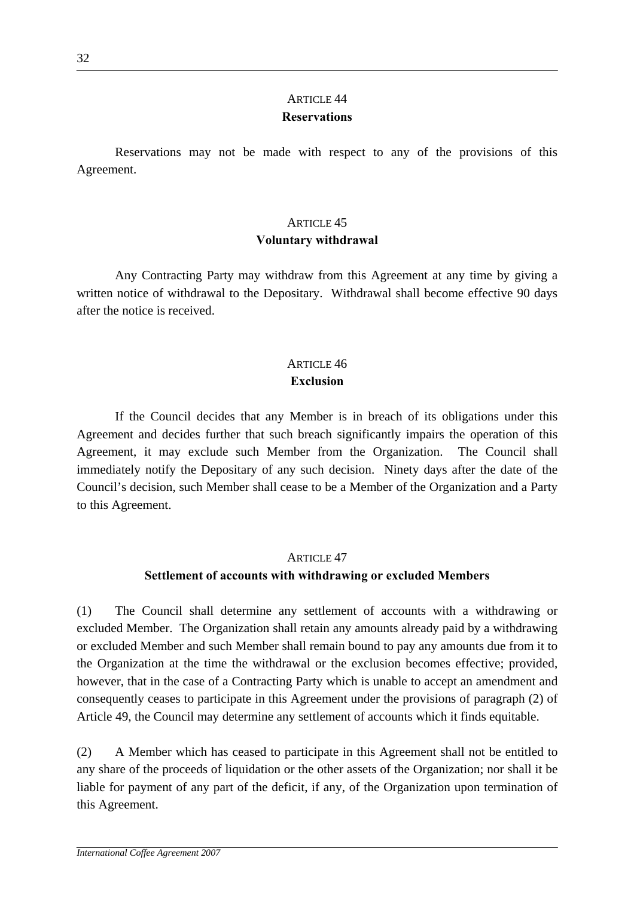# ARTICLE 44 **Reservations**

 Reservations may not be made with respect to any of the provisions of this Agreement.

# ARTICLE 45 **Voluntary withdrawal**

 Any Contracting Party may withdraw from this Agreement at any time by giving a written notice of withdrawal to the Depositary. Withdrawal shall become effective 90 days after the notice is received.

# ARTICLE  $46$

### **Exclusion**

 If the Council decides that any Member is in breach of its obligations under this Agreement and decides further that such breach significantly impairs the operation of this Agreement, it may exclude such Member from the Organization. The Council shall immediately notify the Depositary of any such decision. Ninety days after the date of the Council's decision, such Member shall cease to be a Member of the Organization and a Party to this Agreement.

### ARTICLE 47

# **Settlement of accounts with withdrawing or excluded Members**

(1) The Council shall determine any settlement of accounts with a withdrawing or excluded Member. The Organization shall retain any amounts already paid by a withdrawing or excluded Member and such Member shall remain bound to pay any amounts due from it to the Organization at the time the withdrawal or the exclusion becomes effective; provided, however, that in the case of a Contracting Party which is unable to accept an amendment and consequently ceases to participate in this Agreement under the provisions of paragraph (2) of Article 49, the Council may determine any settlement of accounts which it finds equitable.

(2) A Member which has ceased to participate in this Agreement shall not be entitled to any share of the proceeds of liquidation or the other assets of the Organization; nor shall it be liable for payment of any part of the deficit, if any, of the Organization upon termination of this Agreement.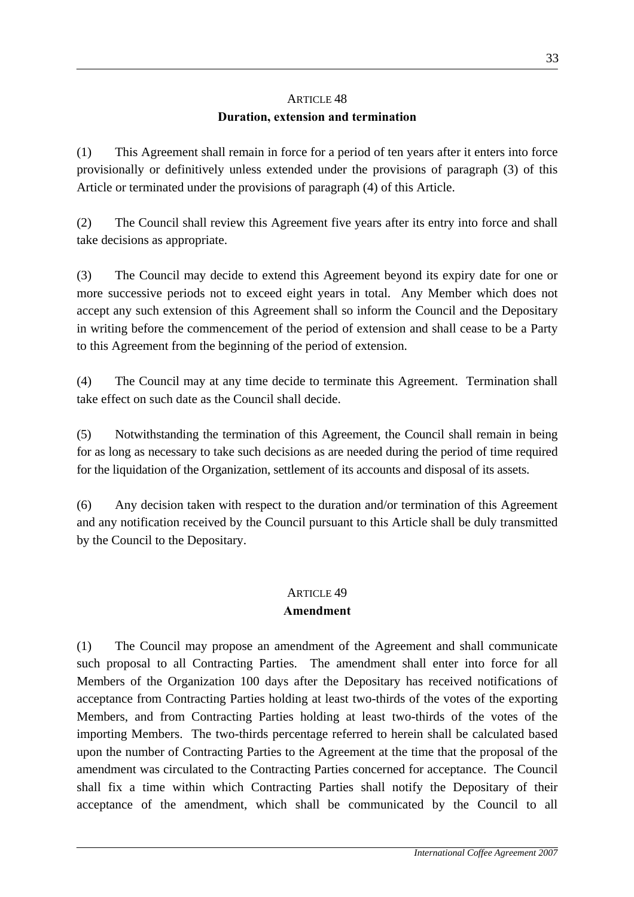# ARTICLE 48 **Duration, extension and termination**

(1) This Agreement shall remain in force for a period of ten years after it enters into force provisionally or definitively unless extended under the provisions of paragraph (3) of this Article or terminated under the provisions of paragraph (4) of this Article.

(2) The Council shall review this Agreement five years after its entry into force and shall take decisions as appropriate.

(3) The Council may decide to extend this Agreement beyond its expiry date for one or more successive periods not to exceed eight years in total. Any Member which does not accept any such extension of this Agreement shall so inform the Council and the Depositary in writing before the commencement of the period of extension and shall cease to be a Party to this Agreement from the beginning of the period of extension.

(4) The Council may at any time decide to terminate this Agreement. Termination shall take effect on such date as the Council shall decide.

(5) Notwithstanding the termination of this Agreement, the Council shall remain in being for as long as necessary to take such decisions as are needed during the period of time required for the liquidation of the Organization, settlement of its accounts and disposal of its assets.

(6) Any decision taken with respect to the duration and/or termination of this Agreement and any notification received by the Council pursuant to this Article shall be duly transmitted by the Council to the Depositary.

# ARTICLE 49

# **Amendment**

(1) The Council may propose an amendment of the Agreement and shall communicate such proposal to all Contracting Parties. The amendment shall enter into force for all Members of the Organization 100 days after the Depositary has received notifications of acceptance from Contracting Parties holding at least two-thirds of the votes of the exporting Members, and from Contracting Parties holding at least two-thirds of the votes of the importing Members. The two-thirds percentage referred to herein shall be calculated based upon the number of Contracting Parties to the Agreement at the time that the proposal of the amendment was circulated to the Contracting Parties concerned for acceptance. The Council shall fix a time within which Contracting Parties shall notify the Depositary of their acceptance of the amendment, which shall be communicated by the Council to all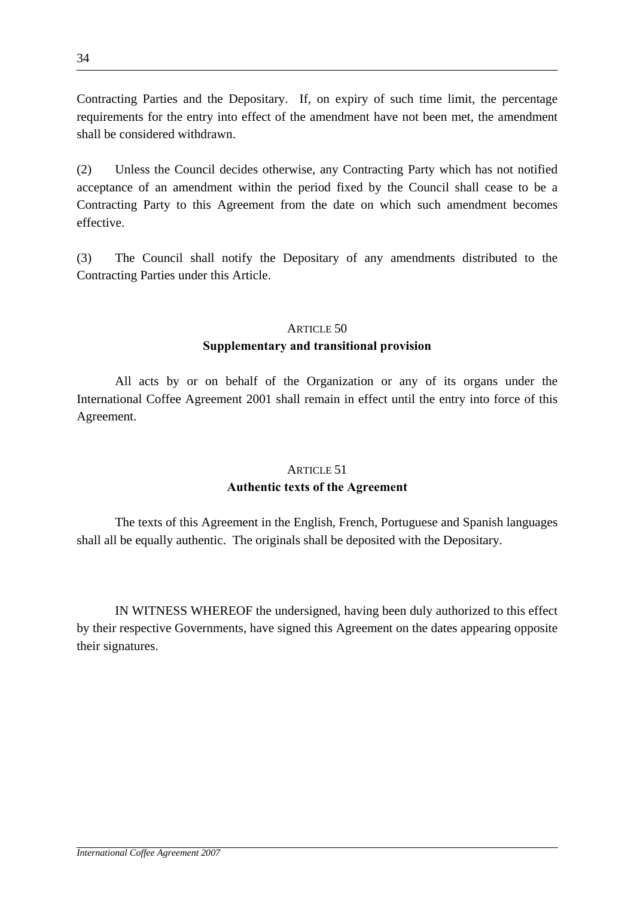Contracting Parties and the Depositary. If, on expiry of such time limit, the percentage requirements for the entry into effect of the amendment have not been met, the amendment shall be considered withdrawn.

(2) Unless the Council decides otherwise, any Contracting Party which has not notified acceptance of an amendment within the period fixed by the Council shall cease to be a Contracting Party to this Agreement from the date on which such amendment becomes effective.

(3) The Council shall notify the Depositary of any amendments distributed to the Contracting Parties under this Article.

### ARTICLE 50

### **Supplementary and transitional provision**

 All acts by or on behalf of the Organization or any of its organs under the International Coffee Agreement 2001 shall remain in effect until the entry into force of this Agreement.

# ARTICLE 51 **Authentic texts of the Agreement**

 The texts of this Agreement in the English, French, Portuguese and Spanish languages shall all be equally authentic. The originals shall be deposited with the Depositary.

 IN WITNESS WHEREOF the undersigned, having been duly authorized to this effect by their respective Governments, have signed this Agreement on the dates appearing opposite their signatures.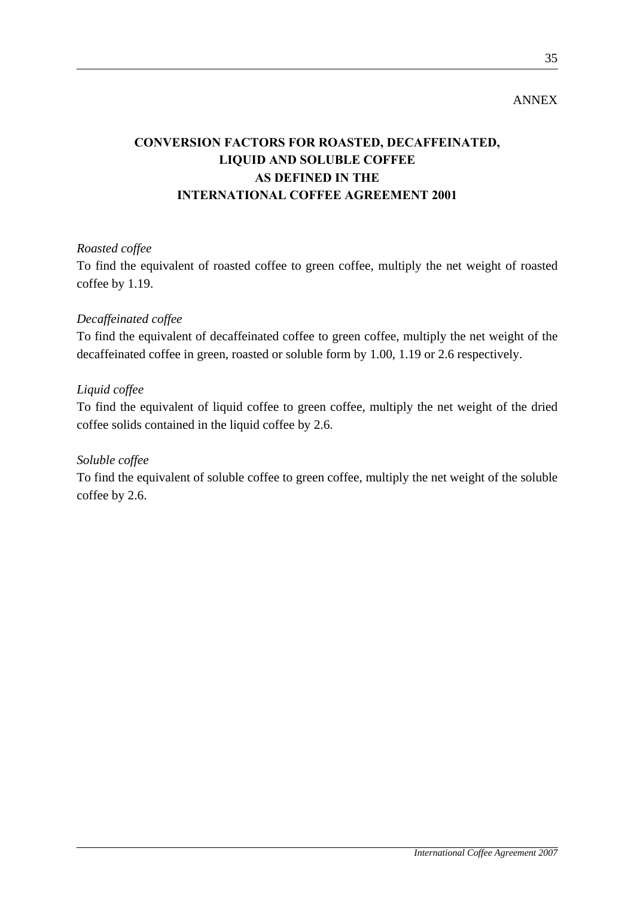## ANNEX

# **CONVERSION FACTORS FOR ROASTED, DECAFFEINATED, LIQUID AND SOLUBLE COFFEE AS DEFINED IN THE INTERNATIONAL COFFEE AGREEMENT 2001**

### *Roasted coffee*

To find the equivalent of roasted coffee to green coffee, multiply the net weight of roasted coffee by 1.19.

### *Decaffeinated coffee*

To find the equivalent of decaffeinated coffee to green coffee, multiply the net weight of the decaffeinated coffee in green, roasted or soluble form by 1.00, 1.19 or 2.6 respectively.

### *Liquid coffee*

To find the equivalent of liquid coffee to green coffee, multiply the net weight of the dried coffee solids contained in the liquid coffee by 2.6.

### *Soluble coffee*

To find the equivalent of soluble coffee to green coffee, multiply the net weight of the soluble coffee by 2.6.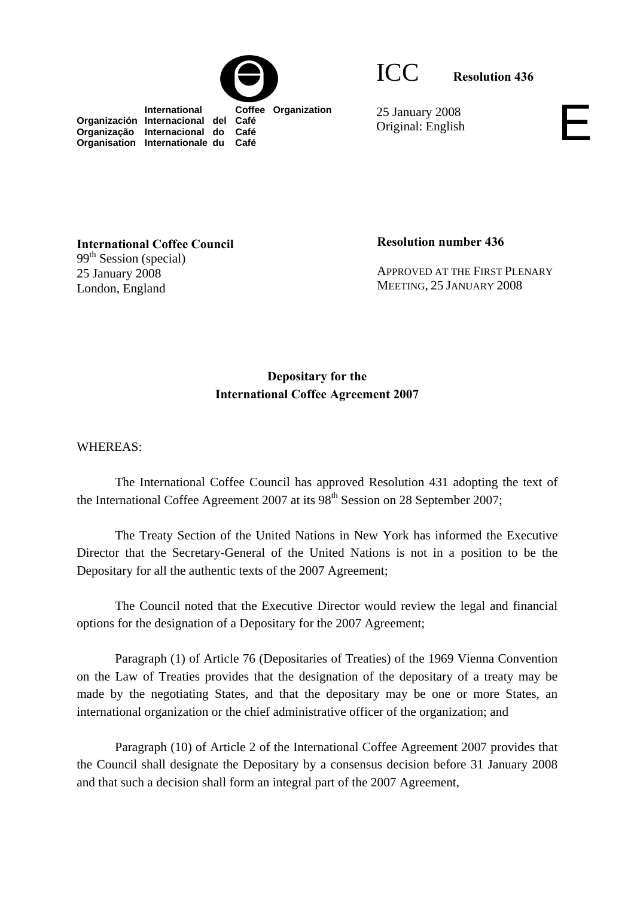



ICC **Resolution 436**

 **International Coffee Organization Organización Internacional del Café Organização Internacional do Café Organisation Internationale du Café**

25 January 2008 Original: English

**International Coffee Council**  99<sup>th</sup> Session (special) 25 January 2008 London, England

**Resolution number 436** 

APPROVED AT THE FIRST PLENARY MEETING, 25 JANUARY 2008

# **Depositary for the International Coffee Agreement 2007**

WHEREAS:

 The International Coffee Council has approved Resolution 431 adopting the text of the International Coffee Agreement 2007 at its  $98<sup>th</sup>$  Session on 28 September 2007;

 The Treaty Section of the United Nations in New York has informed the Executive Director that the Secretary-General of the United Nations is not in a position to be the Depositary for all the authentic texts of the 2007 Agreement;

 The Council noted that the Executive Director would review the legal and financial options for the designation of a Depositary for the 2007 Agreement;

 Paragraph (1) of Article 76 (Depositaries of Treaties) of the 1969 Vienna Convention on the Law of Treaties provides that the designation of the depositary of a treaty may be made by the negotiating States, and that the depositary may be one or more States, an international organization or the chief administrative officer of the organization; and

Paragraph (10) of Article 2 of the International Coffee Agreement 2007 provides that the Council shall designate the Depositary by a consensus decision before 31 January 2008 and that such a decision shall form an integral part of the 2007 Agreement,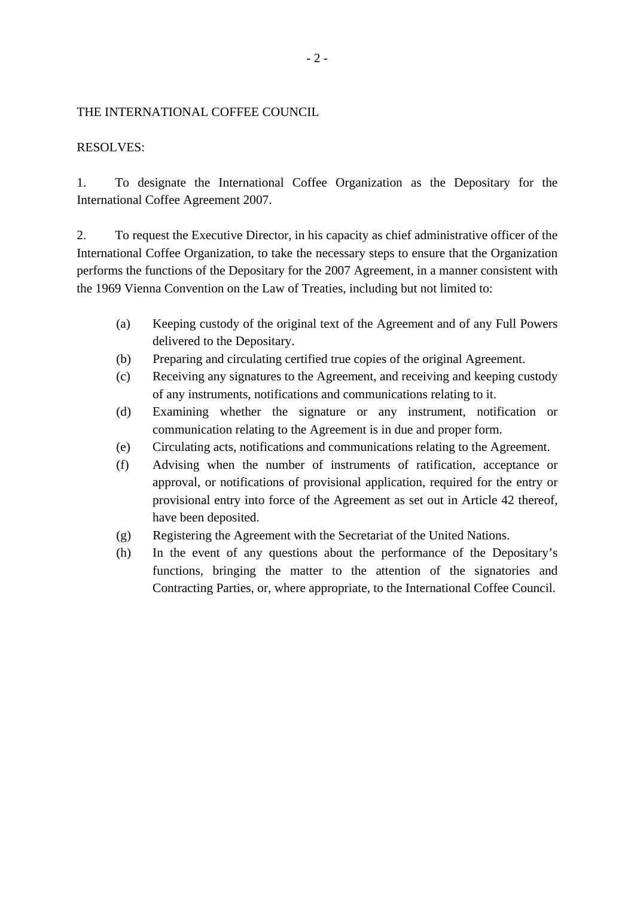### THE INTERNATIONAL COFFEE COUNCIL

### RESOLVES:

1. To designate the International Coffee Organization as the Depositary for the International Coffee Agreement 2007.

2. To request the Executive Director, in his capacity as chief administrative officer of the International Coffee Organization, to take the necessary steps to ensure that the Organization performs the functions of the Depositary for the 2007 Agreement, in a manner consistent with the 1969 Vienna Convention on the Law of Treaties, including but not limited to:

- (a) Keeping custody of the original text of the Agreement and of any Full Powers delivered to the Depositary.
- (b) Preparing and circulating certified true copies of the original Agreement.
- (c) Receiving any signatures to the Agreement, and receiving and keeping custody of any instruments, notifications and communications relating to it.
- (d) Examining whether the signature or any instrument, notification or communication relating to the Agreement is in due and proper form.
- (e) Circulating acts, notifications and communications relating to the Agreement.
- (f) Advising when the number of instruments of ratification, acceptance or approval, or notifications of provisional application, required for the entry or provisional entry into force of the Agreement as set out in Article 42 thereof, have been deposited.
- (g) Registering the Agreement with the Secretariat of the United Nations.
- (h) In the event of any questions about the performance of the Depositary's functions, bringing the matter to the attention of the signatories and Contracting Parties, or, where appropriate, to the International Coffee Council.